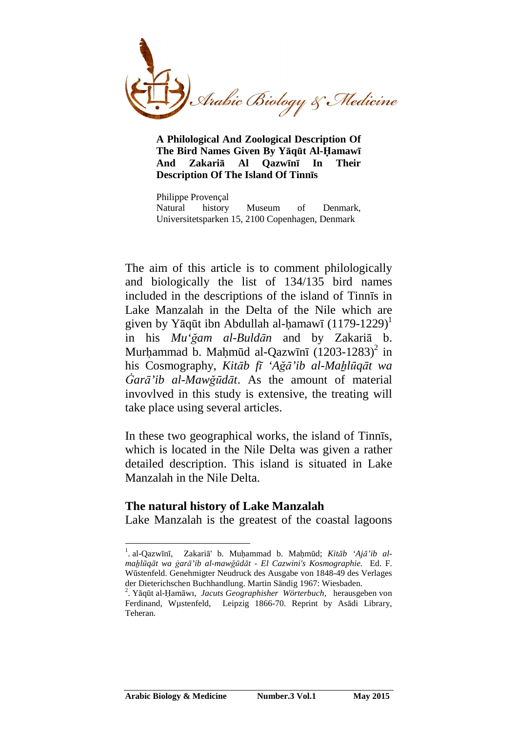

**A Philological And Zoological Description Of The Bird Names Given By Yāqūt Al-Ḥamawī And Zakariā Al Qazwīnī In Their Description Of The Island Of Tinnīs** 

Philippe Provençal Natural history Museum of Denmark, Universitetsparken 15, 2100 Copenhagen, Denmark

The aim of this article is to comment philologically and biologically the list of 134/135 bird names included in the descriptions of the island of Tinnīs in Lake Manzalah in the Delta of the Nile which are given by Yāqūt ibn Abdullah al-hamawī  $(1179-1229)^1$ in his *Mu'ğam al-Buldān* and by Zakariā b. Murḥammad b. Maḥmūd al-Qazwīnī  $(1203-1283)^2$  in his Cosmography, *Kitāb fī 'Ağā'ib al-Maẖlūqāt wa Ġarā'ib al-Mawğūdāt*. As the amount of material invovlved in this study is extensive, the treating will take place using several articles.

In these two geographical works, the island of Tinnīs, which is located in the Nile Delta was given a rather detailed description. This island is situated in Lake Manzalah in the Nile Delta.

## **The natural history of Lake Manzalah**

 $\overline{a}$ 

Lake Manzalah is the greatest of the coastal lagoons

<sup>1</sup> . al-Qazwīnī, Zakariā' b. Muḥammad b. Maḥmūd; *Kitāb 'Ajā'ib almaẖlūqāt wa ġarā'ib al-mawğūdāt - El Cazwini's Kosmographie.* Ed. F. Wūstenfeld. Genehmigter Neudruck des Ausgabe von 1848-49 des Verlages der Dieterichschen Buchhandlung. Martin Sändig 1967: Wiesbaden.

<sup>2</sup> . Yāqūt al-Ḥamāwı, *Jacuts Geographisher Wörterbuch,* herausgeben von Ferdinand, Wµstenfeld, Leipzig 1866-70. Reprint by Asādi Library, Teheran.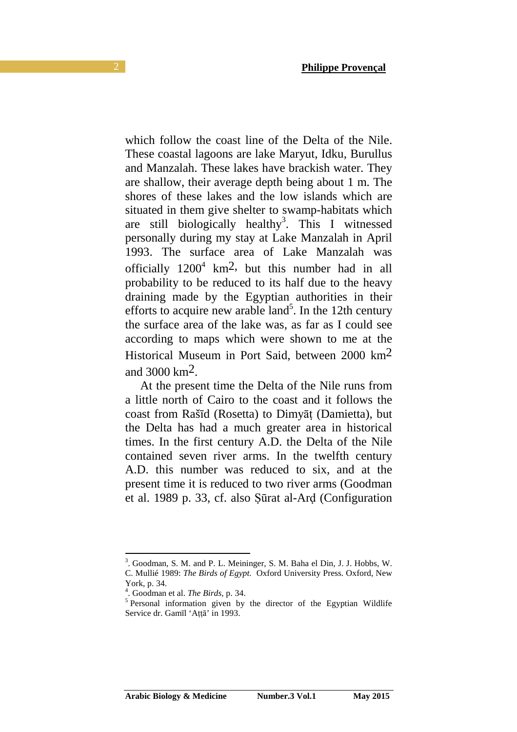which follow the coast line of the Delta of the Nile. These coastal lagoons are lake Maryut, Idku, Burullus and Manzalah. These lakes have brackish water. They are shallow, their average depth being about 1 m. The shores of these lakes and the low islands which are situated in them give shelter to swamp-habitats which are still biologically healthy<sup>3</sup>. This I witnessed personally during my stay at Lake Manzalah in April 1993. The surface area of Lake Manzalah was officially  $1200^4$  km<sup>2</sup>, but this number had in all probability to be reduced to its half due to the heavy draining made by the Egyptian authorities in their efforts to acquire new arable land<sup>5</sup>. In the 12th century the surface area of the lake was, as far as I could see according to maps which were shown to me at the Historical Museum in Port Said, between 2000 km2 and 3000 km2.

 At the present time the Delta of the Nile runs from a little north of Cairo to the coast and it follows the coast from Rašīd (Rosetta) to Dimyāṭ (Damietta), but the Delta has had a much greater area in historical times. In the first century A.D. the Delta of the Nile contained seven river arms. In the twelfth century A.D. this number was reduced to six, and at the present time it is reduced to two river arms (Goodman et al. 1989 p. 33, cf. also Ṣūrat al-Arḍ (Configuration

<sup>3</sup> . Goodman, S. M. and P. L. Meininger, S. M. Baha el Din, J. J. Hobbs, W. C. Mullié 1989: *The Birds of Egypt.* Oxford University Press. Oxford, New York, p. 34.

<sup>4</sup> . Goodman et al. *The Birds,* p. 34.

<sup>&</sup>lt;sup>5</sup> Personal information given by the director of the Egyptian Wildlife Service dr. Gamīl 'Aṭṭā' in 1993.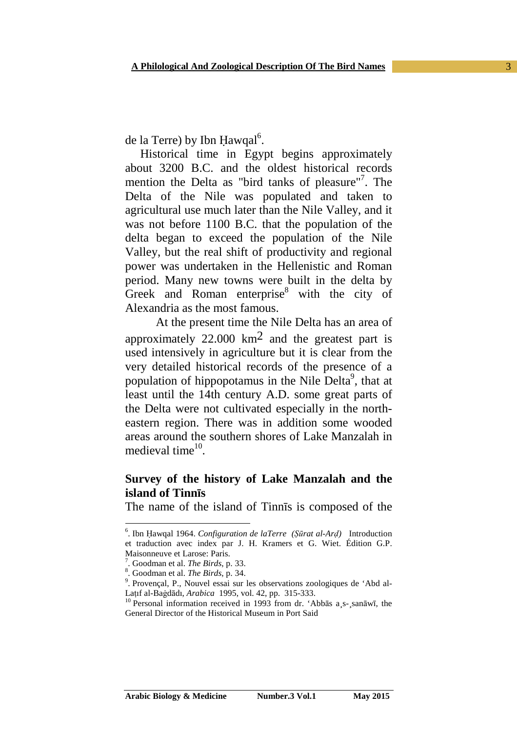de la Terre) by Ibn Ḥawqal<sup>6</sup>.

 Historical time in Egypt begins approximately about 3200 B.C. and the oldest historical records mention the Delta as "bird tanks of pleasure"<sup>7</sup>. The Delta of the Nile was populated and taken to agricultural use much later than the Nile Valley, and it was not before 1100 B.C. that the population of the delta began to exceed the population of the Nile Valley, but the real shift of productivity and regional power was undertaken in the Hellenistic and Roman period. Many new towns were built in the delta by Greek and Roman enterprise $8$  with the city of Alexandria as the most famous.

 At the present time the Nile Delta has an area of approximately 22.000 km2 and the greatest part is used intensively in agriculture but it is clear from the very detailed historical records of the presence of a population of hippopotamus in the Nile Delta<sup>9</sup>, that at least until the 14th century A.D. some great parts of the Delta were not cultivated especially in the northeastern region. There was in addition some wooded areas around the southern shores of Lake Manzalah in medieval time<sup>10</sup>.

## **Survey of the history of Lake Manzalah and the island of Tinnīs**

The name of the island of Tinnīs is composed of the

<sup>6</sup> . Ibn Ḥawqal 1964. *Configuration de laTerre (Ṣūrat al-Arḍ)* Introduction et traduction avec index par J. H. Kramers et G. Wiet. Édition G.P. Maisonneuve et Larose: Paris.

<sup>7</sup> . Goodman et al. *The Birds*, p. 33.

<sup>8</sup> . Goodman et al. *The Birds*, p. 34.

<sup>9</sup> . Provençal, P., Nouvel essai sur les observations zoologiques de 'Abd al-Laṭıf al-Baġdādı, *Arabica* 1995, vol. 42, pp. 315-333.

<sup>10</sup> Personal information received in 1993 from dr. 'Abbās a¸s-¸sanāwī, the General Director of the Historical Museum in Port Said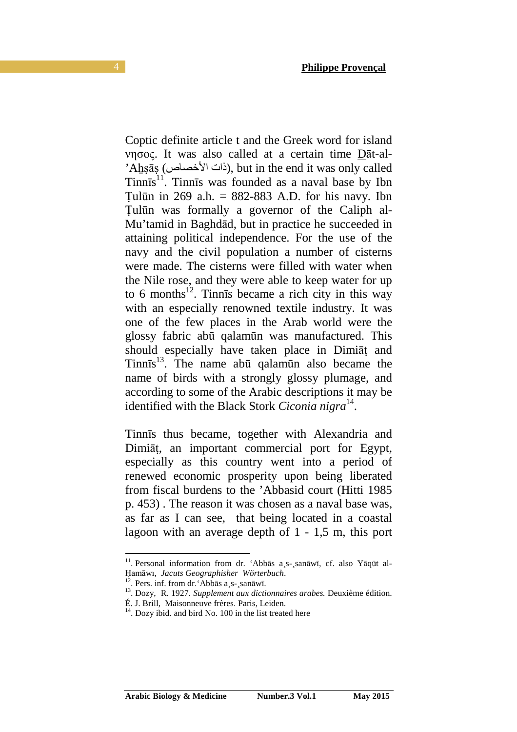Coptic definite article t and the Greek word for island νησος. It was also called at a certain time Dāt-al- 'Ahsās (ذات الأخصاص), but in the end it was only called  $T$ inn $\overline{1}$ s<sup>11</sup>. Tinnīs was founded as a naval base by Ibn Tulūn in 269 a.h.  $= 882-883$  A.D. for his navy. Ibn Ṭulūn was formally a governor of the Caliph al-Mu'tamid in Baghdād, but in practice he succeeded in attaining political independence. For the use of the navy and the civil population a number of cisterns were made. The cisterns were filled with water when the Nile rose, and they were able to keep water for up to 6 months<sup>12</sup>. Tinnīs became a rich city in this way with an especially renowned textile industry. It was one of the few places in the Arab world were the glossy fabric abū qalamūn was manufactured. This should especially have taken place in Dimiāṭ and Tinnīs <sup>13</sup>. The name abū qalamūn also became the name of birds with a strongly glossy plumage, and according to some of the Arabic descriptions it may be identified with the Black Stork *Ciconia nigra*<sup>14</sup>.

Tinnīs thus became, together with Alexandria and Dimiāṭ, an important commercial port for Egypt, especially as this country went into a period of renewed economic prosperity upon being liberated from fiscal burdens to the 'Abbasid court (Hitti 1985 p. 453) . The reason it was chosen as a naval base was, as far as I can see, that being located in a coastal lagoon with an average depth of 1 - 1,5 m, this port

<sup>11</sup>. Personal information from dr. 'Abbās a¸s-¸sanāwī, cf. also Yāqūt al-Ḥamāwı, *Jacuts Geographisher Wörterbuch*.

<sup>&</sup>lt;sup>12</sup>. Pers. inf. from dr. Abbās a<sub>, S-,</sub> sanāwī.

<sup>13</sup>. Dozy, R. 1927. *Supplement aux dictionnaires arabes.* Deuxième édition.

É. J. Brill, Maisonneuve frères. Paris, Leiden.

<sup>&</sup>lt;sup>14</sup>. Dozy ibid. and bird No. 100 in the list treated here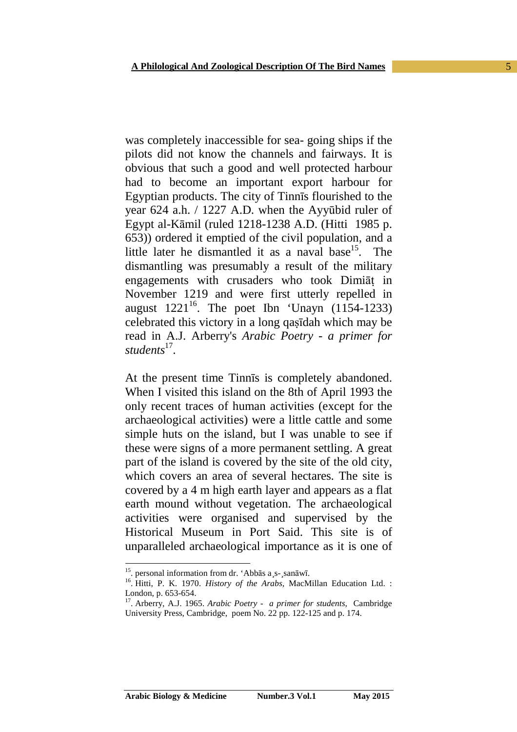was completely inaccessible for sea- going ships if the pilots did not know the channels and fairways. It is obvious that such a good and well protected harbour had to become an important export harbour for Egyptian products. The city of Tinnīs flourished to the year 624 a.h. / 1227 A.D. when the Ayyūbid ruler of Egypt al-Kāmil (ruled 1218-1238 A.D. (Hitti 1985 p. 653)) ordered it emptied of the civil population, and a little later he dismantled it as a naval base<sup>15</sup>. The dismantling was presumably a result of the military engagements with crusaders who took Dimiāṭ in November 1219 and were first utterly repelled in august  $1221^{16}$ . The poet Ibn 'Unayn  $(1154-1233)$ celebrated this victory in a long qaṣīdah which may be read in A.J. Arberry's *Arabic Poetry - a primer for*  students<sup>17</sup>.

At the present time Tinnīs is completely abandoned. When I visited this island on the 8th of April 1993 the only recent traces of human activities (except for the archaeological activities) were a little cattle and some simple huts on the island, but I was unable to see if these were signs of a more permanent settling. A great part of the island is covered by the site of the old city, which covers an area of several hectares. The site is covered by a 4 m high earth layer and appears as a flat earth mound without vegetation. The archaeological activities were organised and supervised by the Historical Museum in Port Said. This site is of unparalleled archaeological importance as it is one of

<sup>15</sup>. personal information from dr. 'Abbās a¸s-¸sanāwī.

<sup>16</sup>. Hitti, P. K. 1970. *History of the Arabs,* MacMillan Education Ltd. : London, p. 653-654.

<sup>17</sup>. Arberry, A.J. 1965. *Arabic Poetry - a primer for students,* Cambridge University Press, Cambridge, poem No. 22 pp. 122-125 and p. 174.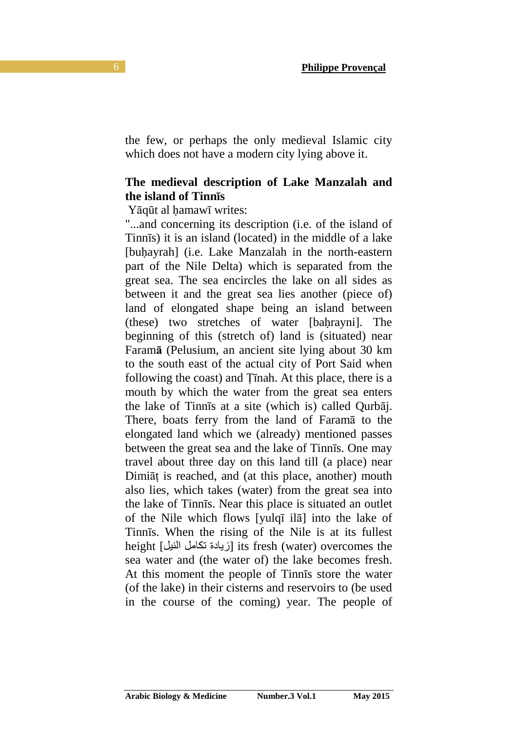the few, or perhaps the only medieval Islamic city which does not have a modern city lying above it.

# **The medieval description of Lake Manzalah and the island of Tinnīs**

Yāqūt al hamawī writes:

"...and concerning its description (i.e. of the island of Tinnīs) it is an island (located) in the middle of a lake [buhayrah] (i.e. Lake Manzalah in the north-eastern part of the Nile Delta) which is separated from the great sea. The sea encircles the lake on all sides as between it and the great sea lies another (piece of) land of elongated shape being an island between (these) two stretches of water [baḥrayni]. The beginning of this (stretch of) land is (situated) near Faram**ā** (Pelusium, an ancient site lying about 30 km to the south east of the actual city of Port Said when following the coast) and Ṭīnah. At this place, there is a mouth by which the water from the great sea enters the lake of Tinnīs at a site (which is) called Qurbāj. There, boats ferry from the land of Faramā to the elongated land which we (already) mentioned passes between the great sea and the lake of Tinnīs. One may travel about three day on this land till (a place) near Dimiāṭ is reached, and (at this place, another) mouth also lies, which takes (water) from the great sea into the lake of Tinnīs. Near this place is situated an outlet of the Nile which flows [yulqī ilā] into the lake of Tinnīs. When the rising of the Nile is at its fullest height [ازيادة تكامل النيل [its fresh (water) overcomes the sea water and (the water of) the lake becomes fresh. At this moment the people of Tinnīs store the water (of the lake) in their cisterns and reservoirs to (be used in the course of the coming) year. The people of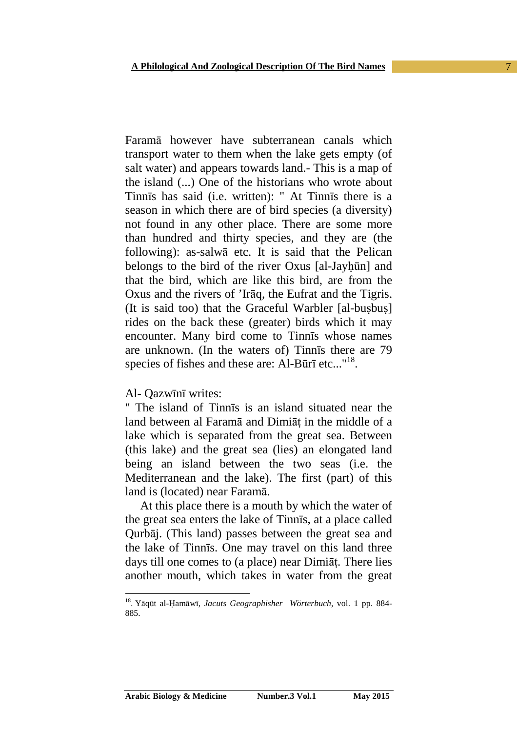Faramā however have subterranean canals which transport water to them when the lake gets empty (of salt water) and appears towards land.- This is a map of the island (...) One of the historians who wrote about Tinnīs has said (i.e. written): " At Tinnīs there is a season in which there are of bird species (a diversity) not found in any other place. There are some more than hundred and thirty species, and they are (the following): as-salwā etc. It is said that the Pelican belongs to the bird of the river Oxus [al-Jayḥūn] and that the bird, which are like this bird, are from the Oxus and the rivers of 'Irāq, the Eufrat and the Tigris. (It is said too) that the Graceful Warbler [al-busbus] rides on the back these (greater) birds which it may encounter. Many bird come to Tinnīs whose names are unknown. (In the waters of) Tinnīs there are 79 species of fishes and these are: Al-Būrī etc..."<sup>18</sup>.

#### Al- Qazwīnī writes:

 $\overline{a}$ 

" The island of Tinnīs is an island situated near the land between al Faramā and Dimiāṭ in the middle of a lake which is separated from the great sea. Between (this lake) and the great sea (lies) an elongated land being an island between the two seas (i.e. the Mediterranean and the lake). The first (part) of this land is (located) near Faramā.

 At this place there is a mouth by which the water of the great sea enters the lake of Tinnīs, at a place called Qurbāj. (This land) passes between the great sea and the lake of Tinnīs. One may travel on this land three days till one comes to (a place) near Dimiāṭ. There lies another mouth, which takes in water from the great

<sup>18</sup>. Yāqūt al-Ḥamāwī, *Jacuts Geographisher Wörterbuch,* vol. 1 pp. 884- 885.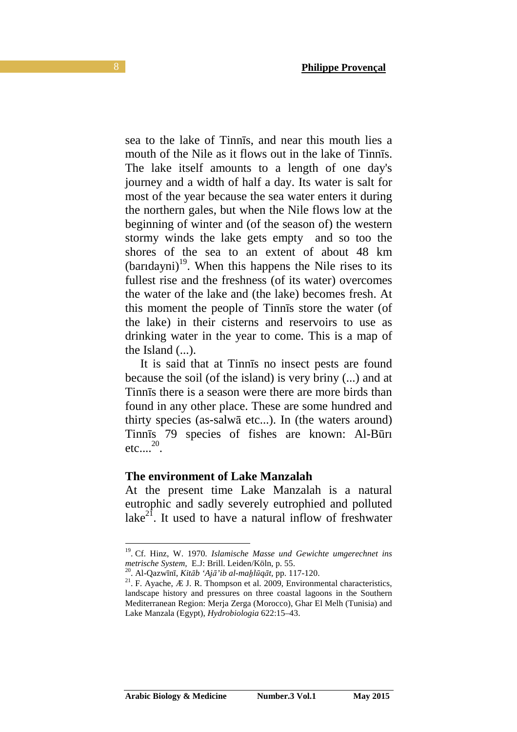sea to the lake of Tinnīs, and near this mouth lies a mouth of the Nile as it flows out in the lake of Tinnīs. The lake itself amounts to a length of one day's journey and a width of half a day. Its water is salt for most of the year because the sea water enters it during the northern gales, but when the Nile flows low at the beginning of winter and (of the season of) the western stormy winds the lake gets empty and so too the shores of the sea to an extent of about 48 km  $(bardayni)^{19}$ . When this happens the Nile rises to its fullest rise and the freshness (of its water) overcomes the water of the lake and (the lake) becomes fresh. At this moment the people of Tinnīs store the water (of the lake) in their cisterns and reservoirs to use as drinking water in the year to come. This is a map of the Island  $(\ldots)$ .

 It is said that at Tinnīs no insect pests are found because the soil (of the island) is very briny (...) and at Tinnīs there is a season were there are more birds than found in any other place. These are some hundred and thirty species (as-salwā etc...). In (the waters around) Tinnīs 79 species of fishes are known: Al-Būrı  $etc....<sup>20</sup>$ .

#### **The environment of Lake Manzalah**

At the present time Lake Manzalah is a natural eutrophic and sadly severely eutrophied and polluted lake<sup>21</sup>. It used to have a natural inflow of freshwater

<sup>19</sup>. Cf. Hinz, W. 1970. *Islamische Masse und Gewichte umgerechnet ins metrische System,* E.J: Brill. Leiden/Köln, p. 55.

<sup>20</sup>. Al-Qazwīnī, *Kitāb 'Ajā'ib al-maẖlūqāt,* pp. 117-120.

<sup>&</sup>lt;sup>21</sup>. F. Ayache,  $E$  J. R. Thompson et al. 2009, Environmental characteristics, landscape history and pressures on three coastal lagoons in the Southern Mediterranean Region: Merja Zerga (Morocco), Ghar El Melh (Tunisia) and Lake Manzala (Egypt), *Hydrobiologia* 622:15–43.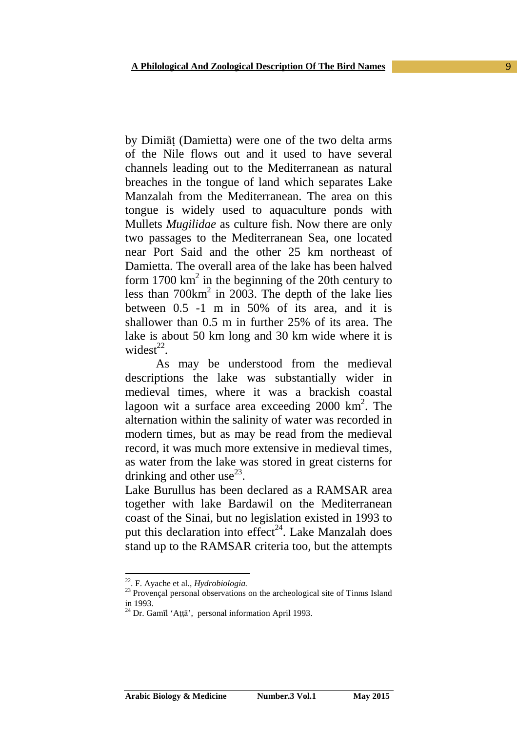by Dimiāṭ (Damietta) were one of the two delta arms of the Nile flows out and it used to have several channels leading out to the Mediterranean as natural breaches in the tongue of land which separates Lake Manzalah from the Mediterranean. The area on this tongue is widely used to aquaculture ponds with Mullets *Mugilidae* as culture fish. Now there are only two passages to the Mediterranean Sea, one located near Port Said and the other 25 km northeast of Damietta. The overall area of the lake has been halved form  $1700 \text{ km}^2$  in the beginning of the 20th century to less than  $700 \text{km}^2$  in 2003. The depth of the lake lies between 0.5 -1 m in 50% of its area, and it is shallower than 0.5 m in further 25% of its area. The lake is about 50 km long and 30 km wide where it is widest $^{22}$ .

 As may be understood from the medieval descriptions the lake was substantially wider in medieval times, where it was a brackish coastal lagoon wit a surface area exceeding  $2000 \text{ km}^2$ . The alternation within the salinity of water was recorded in modern times, but as may be read from the medieval record, it was much more extensive in medieval times, as water from the lake was stored in great cisterns for drinking and other use<sup>23</sup>.

Lake Burullus has been declared as a RAMSAR area together with lake Bardawil on the Mediterranean coast of the Sinai, but no legislation existed in 1993 to put this declaration into effect<sup>24</sup>. Lake Manzalah does stand up to the RAMSAR criteria too, but the attempts

<sup>22</sup>. F. Ayache et al., *Hydrobiologia.*

 $^{23}$  Provençal personal observations on the archeological site of Tinnis Island in 1993.

<sup>24</sup> Dr. Gamīl 'Aṭṭā', personal information April 1993.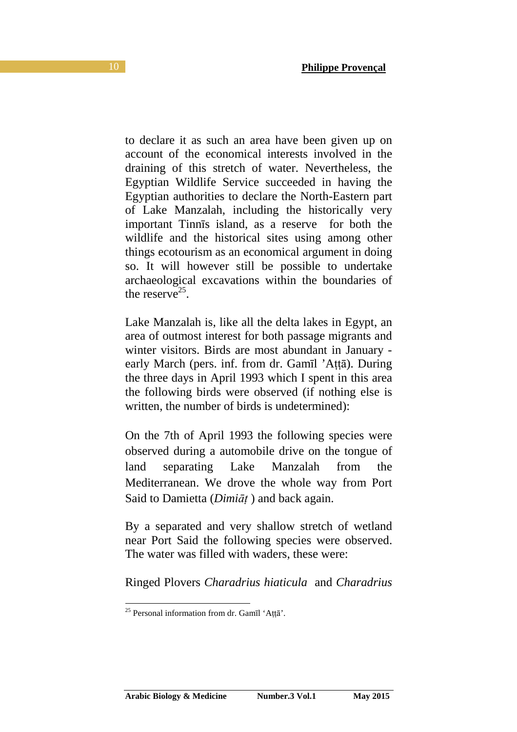to declare it as such an area have been given up on account of the economical interests involved in the draining of this stretch of water. Nevertheless, the Egyptian Wildlife Service succeeded in having the Egyptian authorities to declare the North-Eastern part of Lake Manzalah, including the historically very important Tinnīs island, as a reserve for both the wildlife and the historical sites using among other things ecotourism as an economical argument in doing so. It will however still be possible to undertake archaeological excavations within the boundaries of the reserve<sup>25</sup>.

Lake Manzalah is, like all the delta lakes in Egypt, an area of outmost interest for both passage migrants and winter visitors. Birds are most abundant in January early March (pers. inf. from dr. Gamīl 'Aṭṭā). During the three days in April 1993 which I spent in this area the following birds were observed (if nothing else is written, the number of birds is undetermined):

On the 7th of April 1993 the following species were observed during a automobile drive on the tongue of land separating Lake Manzalah from the Mediterranean. We drove the whole way from Port Said to Damietta (*Dimiāṭ* ) and back again.

By a separated and very shallow stretch of wetland near Port Said the following species were observed. The water was filled with waders, these were:

Ringed Plovers *Charadrius hiaticula* and *Charadrius* 

<sup>25</sup> Personal information from dr. Gamīl 'Aṭṭā'.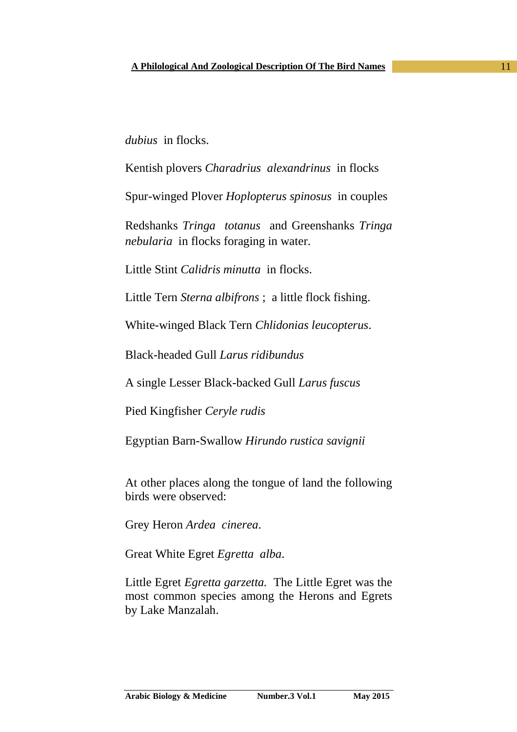*dubius* in flocks.

Kentish plovers *Charadrius alexandrinus* in flocks

Spur-winged Plover *Hoplopterus spinosus* in couples

Redshanks *Tringa totanus* and Greenshanks *Tringa nebularia* in flocks foraging in water.

Little Stint *Calidris minutta* in flocks.

Little Tern *Sterna albifrons* ; a little flock fishing.

White-winged Black Tern *Chlidonias leucopterus*.

Black-headed Gull *Larus ridibundus*

A single Lesser Black-backed Gull *Larus fuscus*

Pied Kingfisher *Ceryle rudis*

Egyptian Barn-Swallow *Hirundo rustica savignii*

At other places along the tongue of land the following birds were observed:

Grey Heron *Ardea cinerea*.

Great White Egret *Egretta alba*.

Little Egret *Egretta garzetta.* The Little Egret was the most common species among the Herons and Egrets by Lake Manzalah.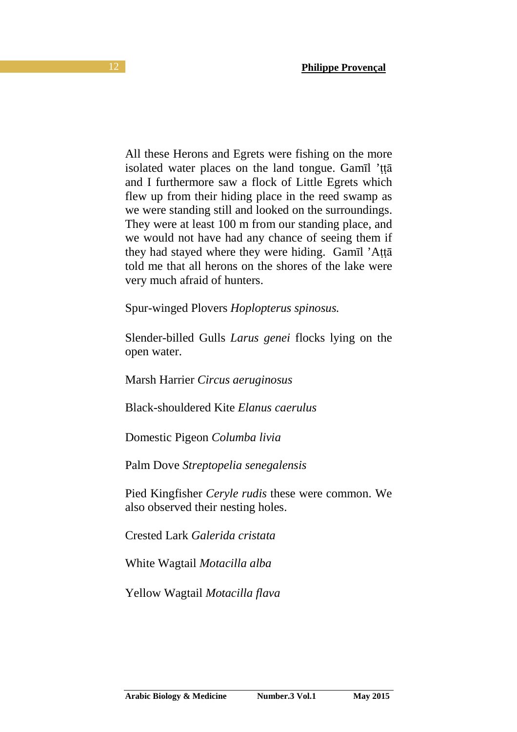All these Herons and Egrets were fishing on the more isolated water places on the land tongue. Gamīl 'ttā and I furthermore saw a flock of Little Egrets which flew up from their hiding place in the reed swamp as we were standing still and looked on the surroundings. They were at least 100 m from our standing place, and we would not have had any chance of seeing them if they had stayed where they were hiding. Gamīl 'Attā told me that all herons on the shores of the lake were very much afraid of hunters.

Spur-winged Plovers *Hoplopterus spinosus.* 

Slender-billed Gulls *Larus genei* flocks lying on the open water.

Marsh Harrier *Circus aeruginosus* 

Black-shouldered Kite *Elanus caerulus*

Domestic Pigeon *Columba livia*

Palm Dove *Streptopelia senegalensis* 

Pied Kingfisher *Ceryle rudis* these were common. We also observed their nesting holes.

Crested Lark *Galerida cristata* 

White Wagtail *Motacilla alba* 

Yellow Wagtail *Motacilla flava*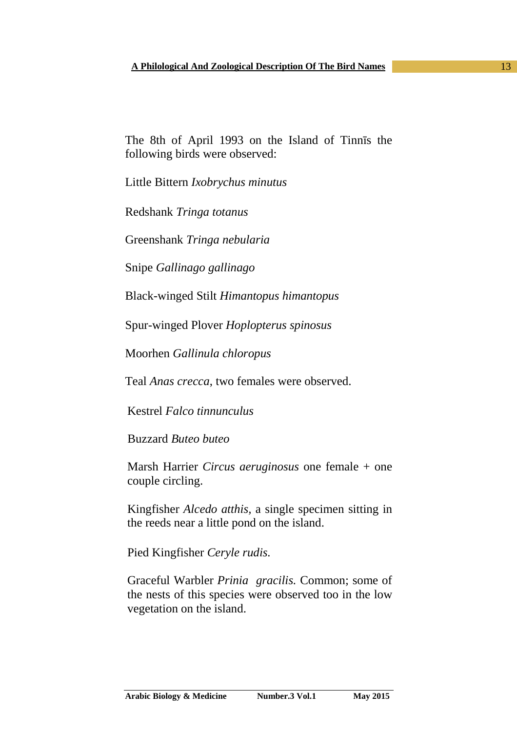The 8th of April 1993 on the Island of Tinnīs the following birds were observed:

Little Bittern *Ixobrychus minutus*

Redshank *Tringa totanus*

Greenshank *Tringa nebularia*

Snipe *Gallinago gallinago*

Black-winged Stilt *Himantopus himantopus* 

Spur-winged Plover *Hoplopterus spinosus*

Moorhen *Gallinula chloropus*

Teal *Anas crecca*, two females were observed.

Kestrel *Falco tinnunculus* 

Buzzard *Buteo buteo*

Marsh Harrier *Circus aeruginosus* one female + one couple circling.

Kingfisher *Alcedo atthis,* a single specimen sitting in the reeds near a little pond on the island.

Pied Kingfisher *Ceryle rudis.* 

Graceful Warbler *Prinia gracilis.* Common; some of the nests of this species were observed too in the low vegetation on the island.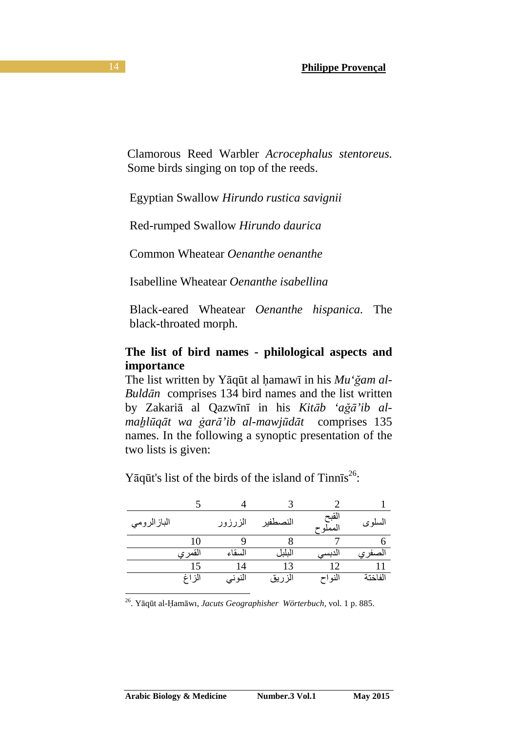Clamorous Reed Warbler *Acrocephalus stentoreus.* Some birds singing on top of the reeds.

Egyptian Swallow *Hirundo rustica savignii* 

Red-rumped Swallow *Hirundo daurica* 

Common Wheatear *Oenanthe oenanthe* 

Isabelline Wheatear *Oenanthe isabellina*

Black-eared Wheatear *Oenanthe hispanica.* The black-throated morph.

## **The list of bird names - philological aspects and importance**

The list written by Yāqūt al ḥamawī in his *Mu'ğam al-Buldān* comprises 134 bird names and the list written by Zakariā al Qazwīnī in his *Kitāb 'ağā'ib almaẖlūqāt wa ġarā'ib al-mawjūdāt* comprises 135 names. In the following a synoptic presentation of the two lists is given:

|        | الزرزور | النصطفير | القبح<br>المملوح | السلوى  |
|--------|---------|----------|------------------|---------|
| 10     |         |          |                  |         |
| القمرى | السقاء  | البلبا   |                  | لصفر و  |
| 15     | 14      | 13       | 12               |         |
| الز اغ | النوني  | الزريق   | النواح           | الفاختة |
|        |         |          |                  |         |

Yāqūt's list of the birds of the island of Tinn $\overline{s}^{26}$ :

<sup>26</sup>. Yāqūt al-Ḥamāwı, *Jacuts Geographisher Wörterbuch,* vol. 1 p. 885.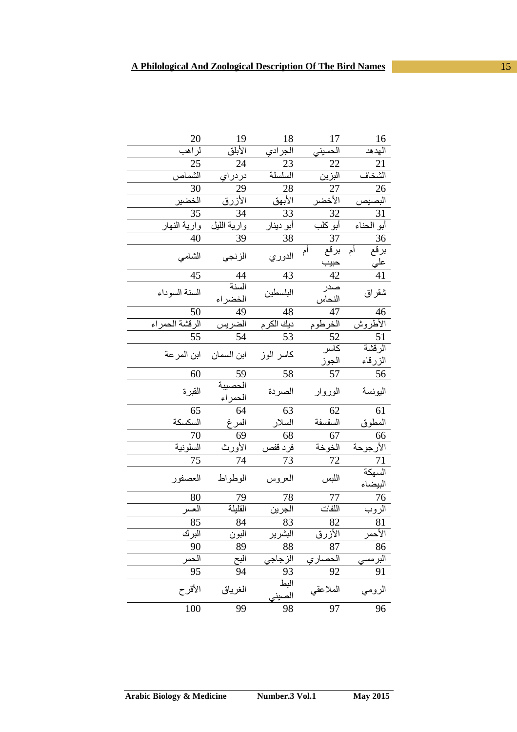| 20                        | 19                 | 18                     | 17                                 | 16                      |
|---------------------------|--------------------|------------------------|------------------------------------|-------------------------|
| لراهب                     | الأبلق             | الجر اد <i>ي</i>       | الحسينى                            | الهدهد                  |
| $\frac{25}{\text{binim}}$ | 24                 | $\frac{23}{1}$ السلسلة | 22                                 | 21                      |
|                           | در در اي           |                        | البزين                             | الشخاف                  |
| 30                        | 29                 | 28                     | 27                                 | 26                      |
| الخضير                    | الأزرق             | الأبهق                 | الأخضر                             | البصيص                  |
| 35                        | 34                 | 33                     | 32                                 | 31                      |
| وارية النهار              | وارية الليل        | أبو دينار              | أبو كلب                            | أبو الحناء              |
| 40                        | 39                 | 38                     | 37                                 | 36                      |
| الشامي                    | الزنجي             | الدوري                 | أم<br>برقع<br>حبيب                 | برقع<br>أم<br>علي       |
| 45                        | 44                 | 43                     | 42                                 | 41                      |
| السنة السوداء             | السنة<br>الخضراء   | البلسطين               | صدر<br>النحاس                      | شقراق                   |
| 50                        | 49                 | 48                     | 47                                 | 46                      |
| الرقشة الحمراء            | الضريس             | ديك الكرم              | الخرطوم                            | الأطروش                 |
| 55                        | 54                 | $\overline{53}$        |                                    |                         |
| ابن المر عة               | ابن السمان         | كاسر الوز              | $\frac{52}{\frac{52}{2}}$<br>الجوز | 51<br>الرقشة<br>الزرقاء |
| 60                        | 59                 | 58                     | 57                                 | 56                      |
| القبرة                    | الحصبية<br>الحمراء | الصردة                 | الوروار                            | اليونسة                 |
| 65                        |                    | 63                     | 62                                 | 61                      |
| السكسكة                   |                    | السلار                 | السقسفة                            | المطوق                  |
| 70                        | 69                 | 68                     | $\frac{67}{1}$                     | 66                      |
| السلونية                  | الأورث             | فرد قفص                | الخوخة                             | الأرجوحة                |
| 75                        | 74                 | 73                     | 72                                 | 71                      |
| العصفور                   | الوطواط            | العروس                 | اللبس                              | السهكة<br>البيضاء       |
| 80                        | 79                 | 78                     | 77                                 | $\overline{76}$         |
| العسر                     |                    | الجرين                 | اللفات                             | <u>الروب</u>            |
| $\frac{85}{ }$            | القليلة<br>84      | 83                     | 82                                 | $81\,$                  |
| البرك                     | <u>البون</u>       | البشر                  | الأزرق                             | الأحمر                  |
| 90                        | 89                 | 88                     | 87                                 | 86                      |
| الحمر                     | البح               | الزجا                  | الحد<br>ار ي                       | البرمد                  |
| 95                        | 94                 | 93                     | 92                                 | 91                      |
| الأقرح                    | الغرياق            | البط<br>الصنذ          | الملاعقي                           | الرومي                  |
| 100                       | 99                 | 98                     | 97                                 | 96                      |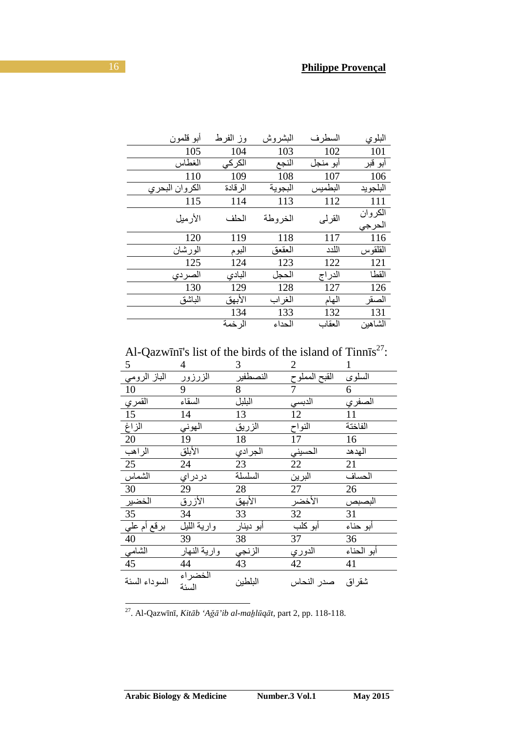## 16 **Philippe Provençal**

| أبو قلمون      | وز الفرط | البشروش | السطر ف  | البلوي   |  |
|----------------|----------|---------|----------|----------|--|
| 105            | 104      | 103     | 102      | 101      |  |
| الغطاس         | الكركي   | النجع   | أبو منجل | أبو قبر  |  |
| 110            | 109      | 108     | 107      | 106      |  |
| الكروان البحري | الر قادة | البجوية | البطميس  | البلجويد |  |
| 115            | 114      | 113     | 112      | 111      |  |
| الأرميل        | الحلف    | الخروطة | القرلي   | الكروان  |  |
|                |          |         |          | الحرجي   |  |
| 120            | 119      | 118     | 117      | 116      |  |
| المور شان      | البوم    | العقعق  | اللدد    | القلقوس  |  |
|                |          |         |          |          |  |
| 125            | 124      | 123     | 122      | 121      |  |
| الصردي         | البادى   | الحجل   | الدراج   | القطا    |  |
| 130            | 129      | 128     | 127      | 126      |  |
| الباشق         | الأبهق   | الغراب  | الهام    | الصقر    |  |
|                | 134      | 133     | 132      | 131      |  |

Al-Qazwīnī's list of the birds of the island of Tinn $\overline{s}^{27}$ :

| 5             | 4                | 3         | 2              |            |
|---------------|------------------|-----------|----------------|------------|
| الباز الرومي  | الزرزور          | النصطفير  | القبح المملوح  | السلوى     |
| 10            | 9                | 8         | $\tau$         | 6          |
| القمري        | السقاء           | البلبل    | الدبسي         | الصفري     |
| 15            | 14               | 13        | 12             | 11         |
| الزاغ         | الهوني           | الزريق    | النواح         | الفاختة    |
| 20            | 19               | 18        | 17             | 16         |
| الراهب        | الأبلق           | الجر ادي  | الحسيني        | الهدهد     |
| 25            | 24               | 23        | 22             | 21         |
| الشماس        | در در اي         | السلسلة   | البرين         | الحساف     |
| 30            | 29               | 28        | 27             | 26         |
| الخضير        | الأزرق           | آلأبهق    | الأخضر         | البصبص     |
| 35            | 34               | 33        | 32             | 31         |
| برقع أم علي   | وارية الليل      | أبو دينار | أبو كلب        | أبو حناء   |
| 40            | 39               | 38        | 37             | 36         |
| الشامي        | وارية النهار     | الزنجي    | الدور <u>ي</u> | أبو الحناء |
| 45            | 44               | 43        | 42             | 41         |
| السوداء السئة | الخضراء<br>السئة | البلطين   | صدر النحاس     | شقراق      |

<sup>27</sup>. Al-Qazwīnī, *Kitāb 'Ağā'ib al-maẖlūqāt,* part 2, pp. 118-118.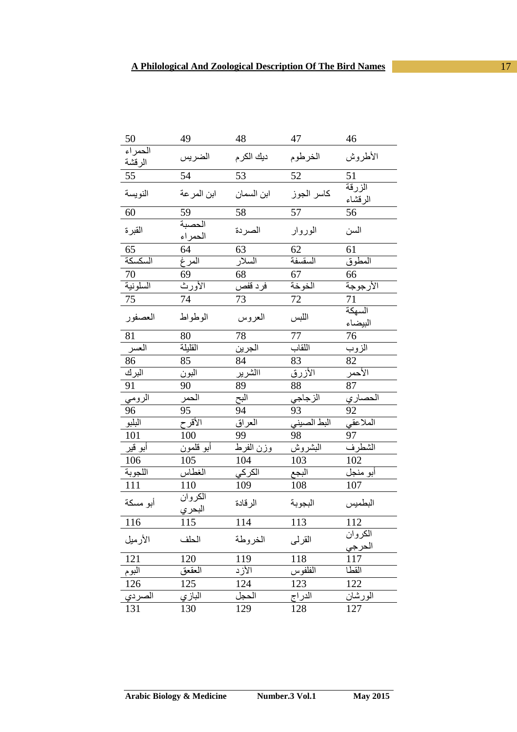| 50               | 49                        | 48             | 47                      | 46                |
|------------------|---------------------------|----------------|-------------------------|-------------------|
| الحمراء          | الضريس                    | ديك الكرم      | الخرطوم                 | الأطروش           |
| الرقشة           |                           |                |                         |                   |
| 55               | 54                        | 53             | 52                      | 51                |
| النويسة          | ابن المرعة                | ابن السمان     | كاسر الجوز              | الزرقة<br>الرقشاء |
| 60               | 59                        | 58             | 57                      | 56                |
| القبرة           | الحصبة<br>الحمراء         | الصردة         | الوروار                 | السن              |
| 65               | 64                        | 63             | 62                      | 61                |
| السكسكة          | المرغ                     | السلار         | السقسفة                 | المطوق            |
| 70               | 69                        | 68             | 67                      | 66                |
| السلونية         | الأورث                    | فرد قفص        | الخوخة                  | الأرجوجة          |
| 75               | 74                        | 73             | 72                      | 71                |
| العصفور          | الوطواط                   | العروس         | اللبس                   | السهكة<br>البيضاء |
| 81               | 80                        | 78             | $77 \,$                 | 76                |
| العسر            | القليلة                   | آلجري <u>ن</u> | اللقاب                  | الزوب             |
| 86               | 85                        | 84             | 83                      | 82                |
| البرك            | ال <u>بون</u>             | االشرير        | الأزرق                  | الأحمر            |
| 91               | 90                        | 89             | 88                      | 87                |
| ا <u>لرومي</u>   | الحمر                     | <u>البح</u>    | الز جاجي                | الحصاري           |
| 96               | 95                        | 94             | 93                      | 92                |
| البلبو           | الأقرح                    | <u>العراق</u>  | البط الصيني             | الملاعقي          |
| 101              | 100                       | 99             | 98                      | 97                |
| أبو قير          | أبو قلمون                 | وزن الفرط      | البشروش                 | الشطرف            |
| $\frac{10}{6}$   | 105                       | 104            | 103                     | 102               |
| اللجوبة          | الغطاس                    | <u>الكركي</u>  |                         | أبو منجل          |
| $\overline{111}$ | 110                       | 109            | البجع $\frac{108}{108}$ | 107               |
| أبو مسكة         | الكروان<br>البحر <i>ي</i> | الرقادة        | البجوبة                 | البطميس           |
| 116              | 115                       | 114            | 113                     | 112               |
| الأرميل          | الحلف                     | الخروطة        | القرلى                  | الكروان<br>الحرجي |
| 121              | 120                       | 119            | 118                     | 117               |
| ا <u>لبوم</u>    | العقعق                    | الأزد          | الفلفوس                 | القطا             |
| 126              | 125                       | 124            | 123                     | 122               |
| الصرد <u>ي</u>   | آلبازي                    | الحجل          | الدراج                  | المورشان          |
| 131              | 130                       | 129            | 128                     | 127               |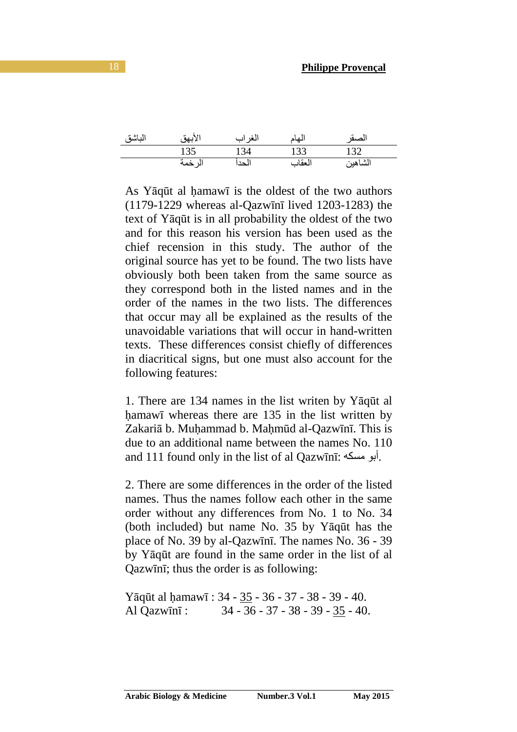| الباشق | الأبهق  | الغراب | الهام  | الصقر   |
|--------|---------|--------|--------|---------|
|        | 135     | 134    | 133    | 132     |
|        | الر خمة | الحد   | العقاب | الشاهين |

As Yāqūt al ḥamawī is the oldest of the two authors (1179-1229 whereas al-Qazwīnī lived 1203-1283) the text of Yāqūt is in all probability the oldest of the two and for this reason his version has been used as the chief recension in this study. The author of the original source has yet to be found. The two lists have obviously both been taken from the same source as they correspond both in the listed names and in the order of the names in the two lists. The differences that occur may all be explained as the results of the unavoidable variations that will occur in hand-written texts. These differences consist chiefly of differences in diacritical signs, but one must also account for the following features:

1. There are 134 names in the list writen by Yāqūt al hamawī whereas there are 135 in the list written by Zakariā b. Muhammad b. Mahmūd al-Qazwīnī. This is due to an additional name between the names No. 110 and 111 found only in the list of al Qazwīnī: مسكه أبو.

2. There are some differences in the order of the listed names. Thus the names follow each other in the same order without any differences from No. 1 to No. 34 (both included) but name No. 35 by Yāqūt has the place of No. 39 by al-Qazwīnī. The names No. 36 - 39 by Yāqūt are found in the same order in the list of al Qazwīnī; thus the order is as following:

Yāqūt al ḥamawī : 34 - 35 - 36 - 37 - 38 - 39 - 40. Al Qazwīnī : 34 - 36 - 37 - 38 - 39 - 35 - 40.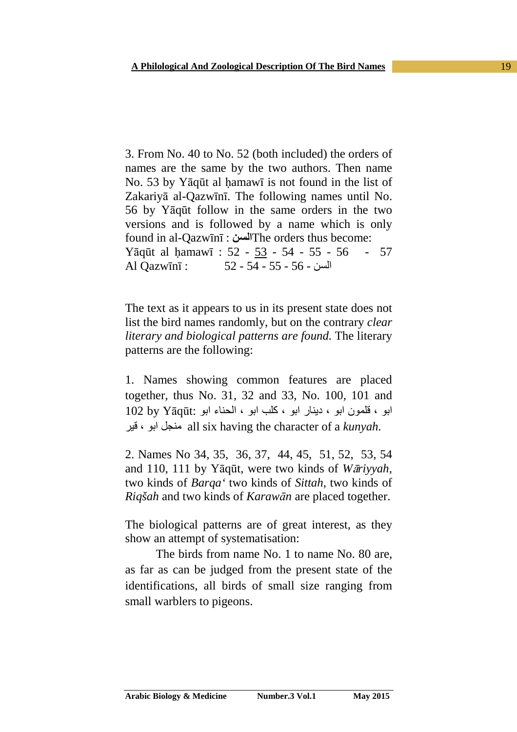3. From No. 40 to No. 52 (both included) the orders of names are the same by the two authors. Then name No. 53 by Yāqūt al ḥamawī is not found in the list of Zakariyā al-Qazwīnī. The following names until No. 56 by Yāqūt follow in the same orders in the two versions and is followed by a name which is only found in al-Qazwīnī : **السن**The orders thus become: Yāqūt al hamawī : 52 - 53 - 54 - 55 - 56 - 57 Al Qazwīnī : 52 - 54 - 55 - 56 - السن

The text as it appears to us in its present state does not list the bird names randomly, but on the contrary *clear literary and biological patterns are found.* The literary patterns are the following:

1. Names showing common features are placed together, thus No. 31, 32 and 33, No. 100, 101 and ابو ، قلمون ابو ، دينار ابو ، بكل ابو ، الحناء ابو :Yāqūt by 102 قير ، ابو منجل all six having the character of a *kunyah.*

2. Names No 34, 35, 36, 37, 44, 45, 51, 52, 53, 54 and 110, 111 by Yāqūt, were two kinds of *W*ā*riyyah,* two kinds of *Barqa'* two kinds of *Sittah,* two kinds of *Riqšah* and two kinds of *Karawān* are placed together.

The biological patterns are of great interest, as they show an attempt of systematisation:

 The birds from name No. 1 to name No. 80 are, as far as can be judged from the present state of the identifications, all birds of small size ranging from small warblers to pigeons.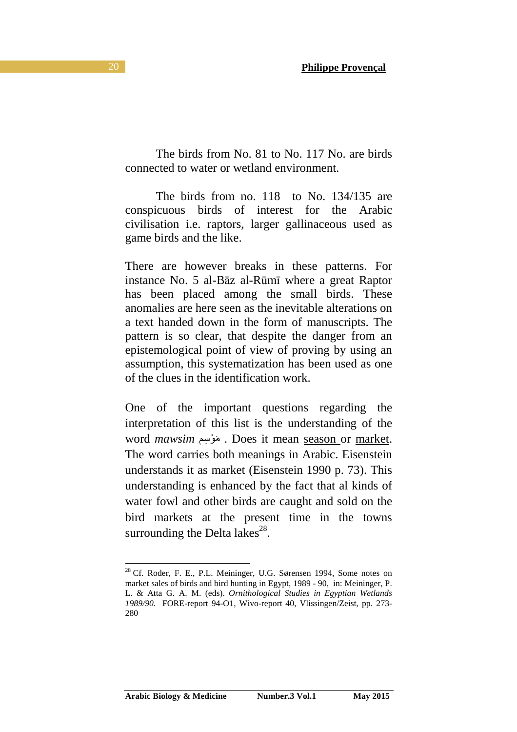The birds from No. 81 to No. 117 No. are birds connected to water or wetland environment.

 The birds from no. 118 to No. 134/135 are conspicuous birds of interest for the Arabic civilisation i.e. raptors, larger gallinaceous used as game birds and the like.

There are however breaks in these patterns. For instance No. 5 al-Bāz al-Rūmī where a great Raptor has been placed among the small birds. These anomalies are here seen as the inevitable alterations on a text handed down in the form of manuscripts. The pattern is so clear, that despite the danger from an epistemological point of view of proving by using an assumption, this systematization has been used as one of the clues in the identification work.

One of the important questions regarding the interpretation of this list is the understanding of the َمْو ِسم *mawsim* word . Does it mean season or market. The word carries both meanings in Arabic. Eisenstein understands it as market (Eisenstein 1990 p. 73). This understanding is enhanced by the fact that al kinds of water fowl and other birds are caught and sold on the bird markets at the present time in the towns surrounding the Delta lakes<sup>28</sup>.

<sup>&</sup>lt;sup>28</sup> Cf. Roder, F. E., P.L. Meininger, U.G. Sørensen 1994, Some notes on market sales of birds and bird hunting in Egypt, 1989 - 90,in: Meininger, P. L. & Atta G. A. M. (eds). *Ornithological Studies in Egyptian Wetlands 1989/90.* FORE-report 94-O1, Wivo-report 40, Vlissingen/Zeist, pp. 273- 280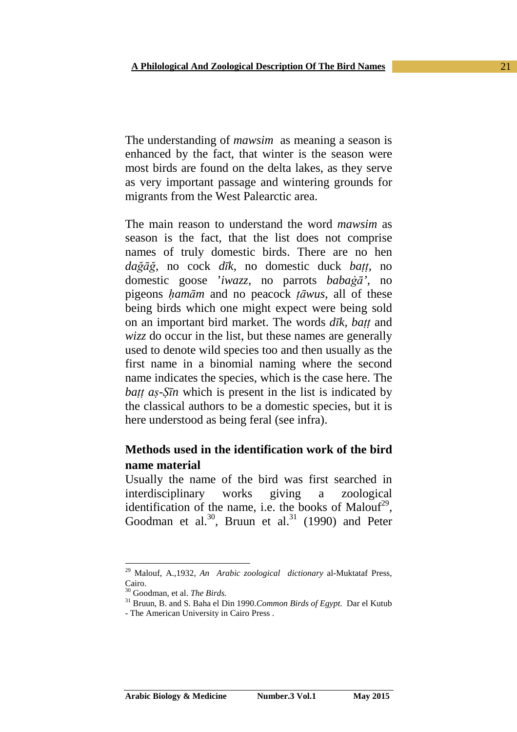The understanding of *mawsim* as meaning a season is enhanced by the fact, that winter is the season were most birds are found on the delta lakes, as they serve as very important passage and wintering grounds for migrants from the West Palearctic area.

The main reason to understand the word *mawsim* as season is the fact, that the list does not comprise names of truly domestic birds. There are no hen *dağāğ*, no cock *dīk*, no domestic duck *baṭṭ*, no domestic goose '*iwazz*, no parrots *babaġā'*, no pigeons *ḥamām* and no peacock *ṭāwus,* all of these being birds which one might expect were being sold on an important bird market. The words *dīk, baṭṭ* and *wizz* do occur in the list, but these names are generally used to denote wild species too and then usually as the first name in a binomial naming where the second name indicates the species, which is the case here. The *baṭṭ aṣ-Ṣīn* which is present in the list is indicated by the classical authors to be a domestic species, but it is here understood as being feral (see infra).

# **Methods used in the identification work of the bird name material**

Usually the name of the bird was first searched in interdisciplinary works giving a zoological identification of the name, i.e. the books of Malouf<sup>29</sup>, Goodman et al.<sup>30</sup>, Bruun et al.<sup>31</sup> (1990) and Peter

<sup>29</sup> Malouf, A.,1932, *An Arabic zoological dictionary* al-Muktataf Press, Cairo.

<sup>30</sup> Goodman, et al. *The Birds.*

<sup>31</sup> Bruun, B. and S. Baha el Din 1990.*Common Birds of Egypt.* Dar el Kutub

<sup>-</sup> The American University in Cairo Press .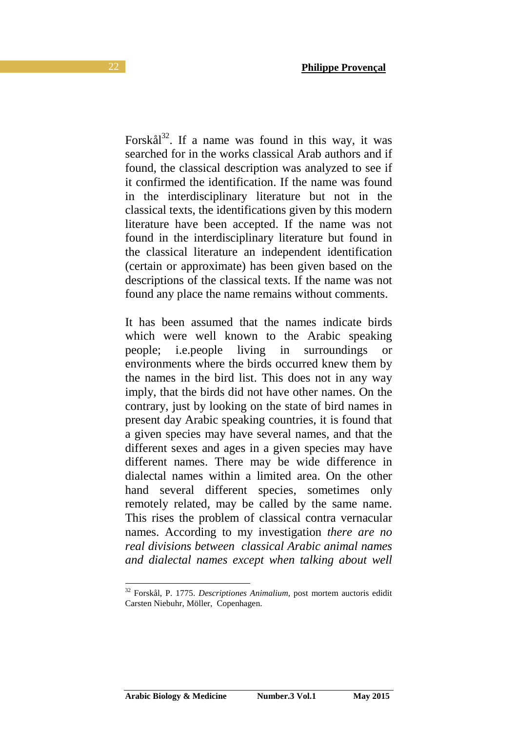Forskål<sup>32</sup>. If a name was found in this way, it was searched for in the works classical Arab authors and if found, the classical description was analyzed to see if it confirmed the identification. If the name was found in the interdisciplinary literature but not in the classical texts, the identifications given by this modern literature have been accepted. If the name was not found in the interdisciplinary literature but found in the classical literature an independent identification (certain or approximate) has been given based on the descriptions of the classical texts. If the name was not found any place the name remains without comments.

It has been assumed that the names indicate birds which were well known to the Arabic speaking people; i.e.people living in surroundings or environments where the birds occurred knew them by the names in the bird list. This does not in any way imply, that the birds did not have other names. On the contrary, just by looking on the state of bird names in present day Arabic speaking countries, it is found that a given species may have several names, and that the different sexes and ages in a given species may have different names. There may be wide difference in dialectal names within a limited area. On the other hand several different species, sometimes only remotely related, may be called by the same name. This rises the problem of classical contra vernacular names. According to my investigation *there are no real divisions between classical Arabic animal names and dialectal names except when talking about well* 

<sup>32</sup> Forskål, P. 1775. *Descriptiones Animalium,* post mortem auctoris edidit Carsten Niebuhr, Möller, Copenhagen.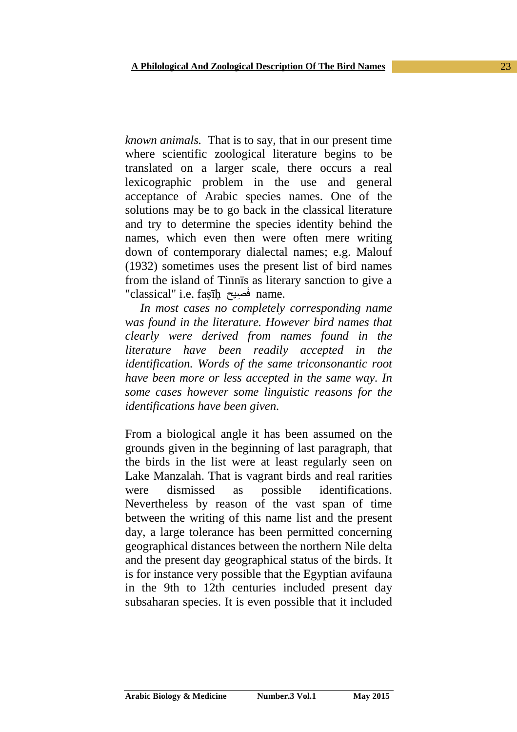*known animals.* That is to say, that in our present time where scientific zoological literature begins to be translated on a larger scale, there occurs a real lexicographic problem in the use and general acceptance of Arabic species names. One of the solutions may be to go back in the classical literature and try to determine the species identity behind the names, which even then were often mere writing down of contemporary dialectal names; e.g. Malouf (1932) sometimes uses the present list of bird names from the island of Tinnīs as literary sanction to give a "classical" i.e. faṣīḥ صيحِ فَ name.

 *In most cases no completely corresponding name was found in the literature. However bird names that clearly were derived from names found in the literature have been readily accepted in the identification. Words of the same triconsonantic root have been more or less accepted in the same way. In some cases however some linguistic reasons for the identifications have been given.* 

From a biological angle it has been assumed on the grounds given in the beginning of last paragraph, that the birds in the list were at least regularly seen on Lake Manzalah. That is vagrant birds and real rarities were dismissed as possible identifications. Nevertheless by reason of the vast span of time between the writing of this name list and the present day, a large tolerance has been permitted concerning geographical distances between the northern Nile delta and the present day geographical status of the birds. It is for instance very possible that the Egyptian avifauna in the 9th to 12th centuries included present day subsaharan species. It is even possible that it included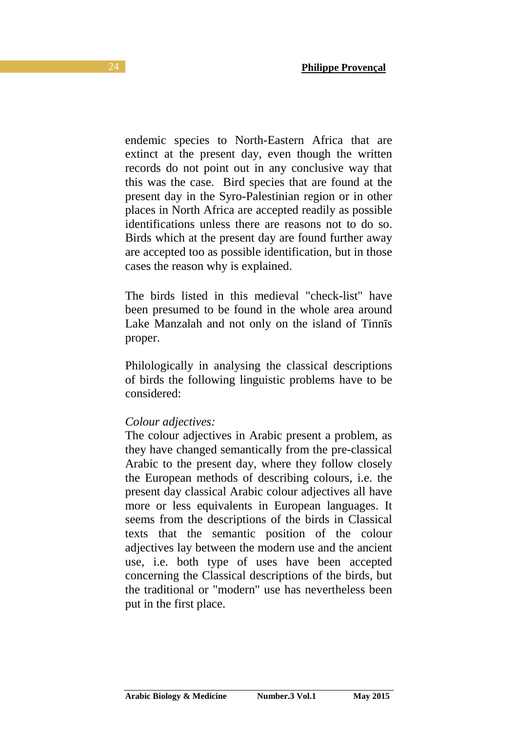endemic species to North-Eastern Africa that are extinct at the present day, even though the written records do not point out in any conclusive way that this was the case. Bird species that are found at the present day in the Syro-Palestinian region or in other places in North Africa are accepted readily as possible identifications unless there are reasons not to do so. Birds which at the present day are found further away are accepted too as possible identification, but in those cases the reason why is explained.

The birds listed in this medieval "check-list" have been presumed to be found in the whole area around Lake Manzalah and not only on the island of Tinnīs proper.

Philologically in analysing the classical descriptions of birds the following linguistic problems have to be considered:

## *Colour adjectives:*

The colour adjectives in Arabic present a problem, as they have changed semantically from the pre-classical Arabic to the present day, where they follow closely the European methods of describing colours, i.e. the present day classical Arabic colour adjectives all have more or less equivalents in European languages. It seems from the descriptions of the birds in Classical texts that the semantic position of the colour adjectives lay between the modern use and the ancient use, i.e. both type of uses have been accepted concerning the Classical descriptions of the birds, but the traditional or "modern" use has nevertheless been put in the first place.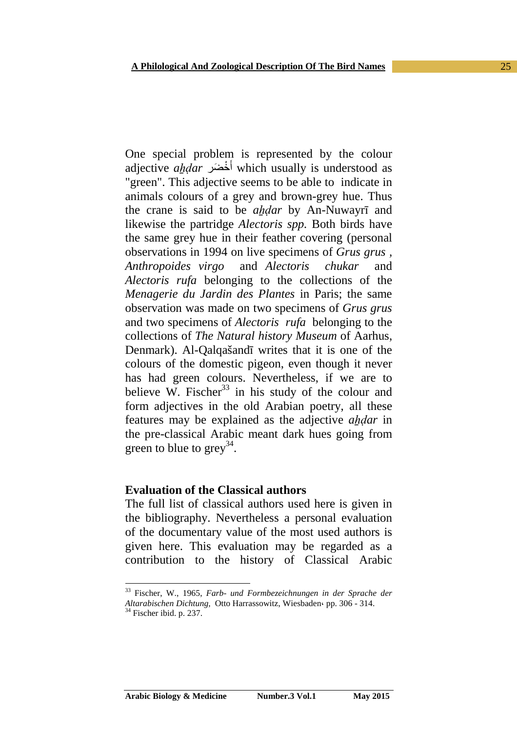One special problem is represented by the colour adjective *ahdar* أَخْضَر which usually is understood as "green". This adjective seems to be able to indicate in animals colours of a grey and brown-grey hue. Thus the crane is said to be *ahdar* by An-Nuwayrī and likewise the partridge *Alectoris spp.* Both birds have the same grey hue in their feather covering (personal observations in 1994 on live specimens of *Grus grus , Anthropoides virgo* and *Alectoris chukar* and *Alectoris rufa* belonging to the collections of the *Menagerie du Jardin des Plantes* in Paris; the same observation was made on two specimens of *Grus grus*  and two specimens of *Alectoris rufa* belonging to the collections of *The Natural history Museum* of Aarhus, Denmark). Al-Qalqašandī writes that it is one of the colours of the domestic pigeon, even though it never has had green colours. Nevertheless, if we are to believe W. Fischer<sup>33</sup> in his study of the colour and form adjectives in the old Arabian poetry, all these features may be explained as the adjective *ahdar* in the pre-classical Arabic meant dark hues going from green to blue to  $\text{grey}^{34}$ .

#### **Evaluation of the Classical authors**

The full list of classical authors used here is given in the bibliography. Nevertheless a personal evaluation of the documentary value of the most used authors is given here. This evaluation may be regarded as a contribution to the history of Classical Arabic

<sup>33</sup> Fischer, W., 1965, *Farb- und Formbezeichnungen in der Sprache der Altarabischen Dichtung,* Otto Harrassowitz, Wiesbaden، pp. 306 - 314.

 $34$  Fischer ibid. p. 237.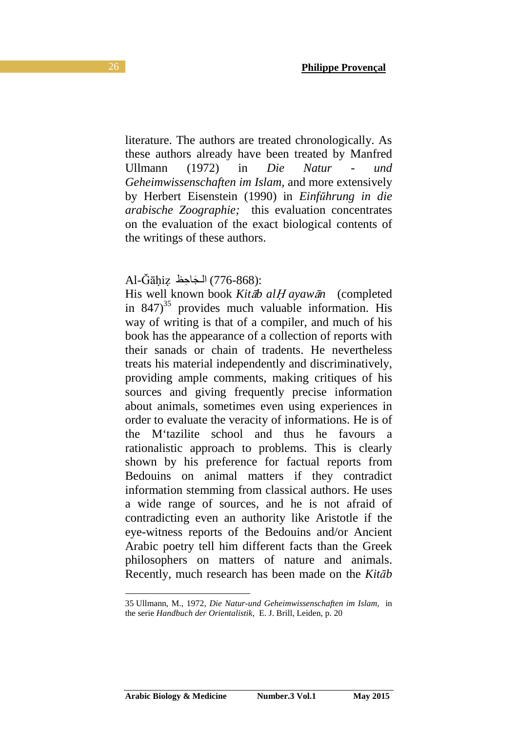literature. The authors are treated chronologically. As these authors already have been treated by Manfred Ullmann (1972) in *Die Natur - und Geheimwissenschaften im Islam,* and more extensively by Herbert Eisenstein (1990) in *Einfūhrung in die arabische Zoographie;* this evaluation concentrates on the evaluation of the exact biological contents of the writings of these authors.

#### $\Delta l$ -Gāhiz الْجَاحِظ / 776-868):

His well known book *Kit*ā*b al*Ḥ *ayaw*ā*n* (completed in  $847$ <sup>35</sup> provides much valuable information. His way of writing is that of a compiler, and much of his book has the appearance of a collection of reports with their sanads or chain of tradents. He nevertheless treats his material independently and discriminatively, providing ample comments, making critiques of his sources and giving frequently precise information about animals, sometimes even using experiences in order to evaluate the veracity of informations. He is of the M'tazilite school and thus he favours a rationalistic approach to problems. This is clearly shown by his preference for factual reports from Bedouins on animal matters if they contradict information stemming from classical authors. He uses a wide range of sources, and he is not afraid of contradicting even an authority like Aristotle if the eye-witness reports of the Bedouins and/or Ancient Arabic poetry tell him different facts than the Greek philosophers on matters of nature and animals. Recently, much research has been made on the *Kitāb* 

<sup>35</sup> Ullmann, M., 1972, *Die Natur-und Geheimwissenschaften im Islam,* in the serie *Handbuch der Orientalistik,* E. J. Brill, Leiden, p. 20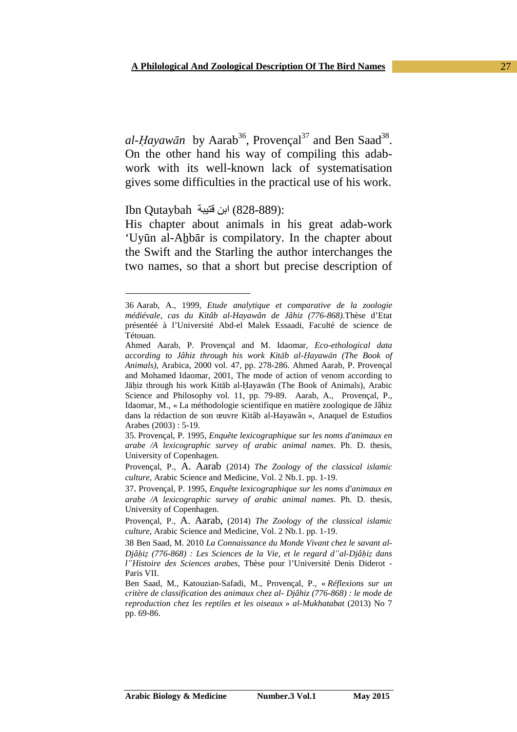al-*Ḥayawān* by Aarab<sup>36</sup>, Provençal<sup>37</sup> and Ben Saad<sup>38</sup>. On the other hand his way of compiling this adabwork with its well-known lack of systematisation gives some difficulties in the practical use of his work.

:(828-889) ابن قتيبة Qutaybah Ibn

 $\overline{a}$ 

His chapter about animals in his great adab-work 'Uyūn al-Aẖbār is compilatory. In the chapter about the Swift and the Starling the author interchanges the two names, so that a short but precise description of

<sup>36</sup> Aarab, A., 1999, *Etude analytique et comparative de la zoologie médiévale, cas du Kitâb al-Hayawân de Jâhiz (776-868)*.Thèse d'Etat présentéé à l'Université Abd-el Malek Essaadi, Faculté de science de Tétouan*.* 

Ahmed Aarab, P. Provençal and M. Idaomar*, Eco-ethological data according to Jâhiz through his work Kitāb al-Ḥayawān (The Book of Animals),* Arabica, 2000 vol. 47, pp. 278-286. Ahmed Aarab, P. Provençal and Mohamed Idaomar, 2001, The mode of action of venom according to Jāḥiz through his work Kitāb al-Ḥayawān (The Book of Animals), Arabic Science and Philosophy vol. 11, pp. 79-89. Aarab, A., Provençal, P., Idaomar, M., « La méthodologie scientifique en matière zoologique de Jâhiz dans la rédaction de son œuvre Kitâb al-Hayawân », Anaquel de Estudios Arabes (2003) : 5-19.

<sup>35.</sup> Provençal, P. 1995, *Enquête lexicographique sur les noms d'animaux en arabe /A lexicographic survey of arabic animal names*. Ph. D. thesis, University of Copenhagen.

Provençal, P., A. Aarab (2014) *The Zoology of the classical islamic culture*, Arabic Science and Medicine, Vol. 2 Nb.1. pp. 1-19.

<sup>37</sup>. Provençal, P. 1995, *Enquête lexicographique sur les noms d'animaux en arabe /A lexicographic survey of arabic animal names*. Ph. D. thesis, University of Copenhagen.

Provençal, P., A. Aarab, (2014) *The Zoology of the classical islamic culture*, Arabic Science and Medicine, Vol. 2 Nb.1. pp. 1-19.

<sup>38</sup> Ben Saad, M. 2010 *La Connaissance du Monde Vivant chez le savant al-Djâḥiẓ (776-868) : Les Sciences de la Vie, et le regard d"al-Djâḥiẓ dans l"Histoire des Sciences arabes,* Thèse pour l'Université Denis Diderot - Paris VII.

Ben Saad, M., Katouzian-Safadi, M., Provençal, P., « *Réflexions sur un critère de classification des animaux chez al- Djâhiz (776-868) : le mode de reproduction chez les reptiles et les oiseaux* » *al-Mukhatabat* (2013) No 7 pp. 69-86.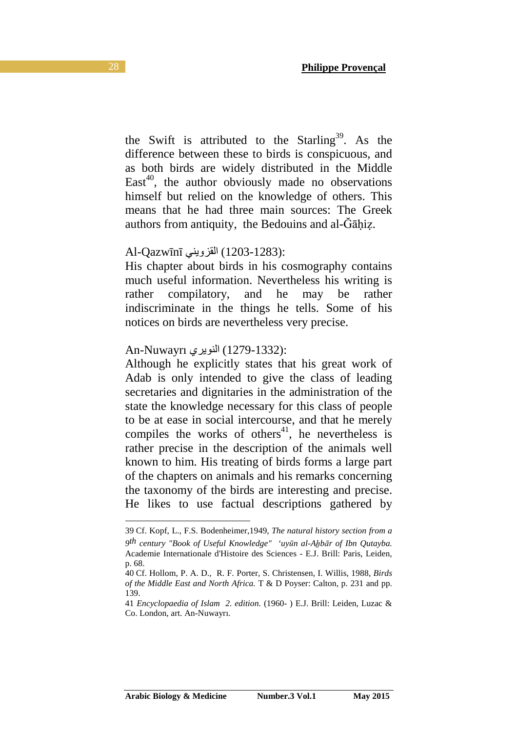the Swift is attributed to the Starling<sup>39</sup>. As the difference between these to birds is conspicuous, and as both birds are widely distributed in the Middle East<sup>40</sup>, the author obviously made no observations himself but relied on the knowledge of others. This means that he had three main sources: The Greek authors from antiquity, the Bedouins and al-Gāhiz.

#### Al-Qazwīnī القزويني) 1203-1283(:

His chapter about birds in his cosmography contains much useful information. Nevertheless his writing is rather compilatory, and he may be rather indiscriminate in the things he tells. Some of his notices on birds are nevertheless very precise.

### An-Nuwayrı النويري) 1279-1332(:

Although he explicitly states that his great work of Adab is only intended to give the class of leading secretaries and dignitaries in the administration of the state the knowledge necessary for this class of people to be at ease in social intercourse, and that he merely compiles the works of others<sup>41</sup>, he nevertheless is rather precise in the description of the animals well known to him. His treating of birds forms a large part of the chapters on animals and his remarks concerning the taxonomy of the birds are interesting and precise. He likes to use factual descriptions gathered by

<sup>39</sup> Cf. Kopf, L., F.S. Bodenheimer,1949, *The natural history section from a 9 th century "Book of Useful Knowledge" 'uyūn al-Aẖbār of Ibn Qutayba.*  Academie Internationale d'Histoire des Sciences - E.J. Brill: Paris, Leiden, p. 68.

<sup>40</sup> Cf. Hollom, P. A. D., R. F. Porter, S. Christensen, I. Willis, 1988, *Birds of the Middle East and North Africa.* T & D Poyser: Calton, p. 231 and pp. 139.

<sup>41</sup> *Encyclopaedia of Islam 2. edition.* (1960- ) E.J. Brill: Leiden, Luzac & Co. London, art. An-Nuwayrı.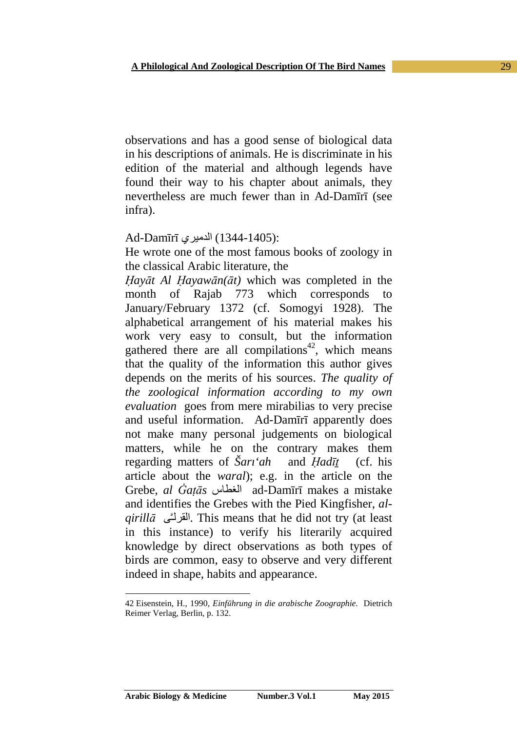observations and has a good sense of biological data in his descriptions of animals. He is discriminate in his edition of the material and although legends have found their way to his chapter about animals, they nevertheless are much fewer than in Ad-Damīrī (see infra).

## Ad-Damīrī الدميري) 1344-1405(:

He wrote one of the most famous books of zoology in the classical Arabic literature, the

*Ḥayāt Al Ḥayawān(āt)* which was completed in the month of Rajab 773 which corresponds to January/February 1372 (cf. Somogyi 1928). The alphabetical arrangement of his material makes his work very easy to consult, but the information gathered there are all compilations<sup>42</sup>, which means that the quality of the information this author gives depends on the merits of his sources. *The quality of the zoological information according to my own evaluation* goes from mere mirabilias to very precise and useful information. Ad-Damīrī apparently does not make many personal judgements on biological matters, while he on the contrary makes them regarding matters of *Šarı'ah* and *Ḥadīṯ* (cf. his article about the *waral*); e.g. in the article on the Grebe, *al Ġaṭās* الغطاس ad-Damīrī makes a mistake and identifies the Grebes with the Pied Kingfisher, *alqirillā* القرلــَّـى This means that he did not try (at least in this instance) to verify his literarily acquired knowledge by direct observations as both types of birds are common, easy to observe and very different indeed in shape, habits and appearance.

<sup>42</sup> Eisenstein, H., 1990, *Einfūhrung in die arabische Zoographie.* Dietrich Reimer Verlag, Berlin, p. 132.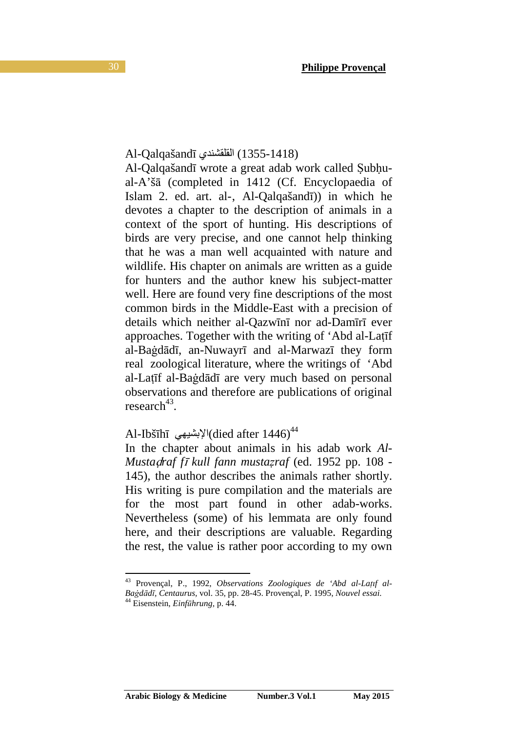#### Al-Qalqašandī القلقشندي) 1355-1418 (

Al-Qalqašandī wrote a great adab work called Subhual-A'šā (completed in 1412 (Cf. Encyclopaedia of Islam 2. ed. art. al-, Al-Qalqašandī) in which he devotes a chapter to the description of animals in a context of the sport of hunting. His descriptions of birds are very precise, and one cannot help thinking that he was a man well acquainted with nature and wildlife. His chapter on animals are written as a guide for hunters and the author knew his subject-matter well. Here are found very fine descriptions of the most common birds in the Middle-East with a precision of details which neither al-Qazwīnī nor ad-Damīrī ever approaches. Together with the writing of 'Abd al-Laṭīf al-Baġdādī, an-Nuwayrī and al-Marwazī they form real zoological literature, where the writings of 'Abd al-Laṭīf al-Baġdādī are very much based on personal observations and therefore are publications of original  $research<sup>43</sup>$ .

## Al-Ibšīhī بشيهي $\chi$ l(died after 1446)<sup>44</sup>

In the chapter about animals in his adab work *Al-Musta*ḍ*raf f*ī *kull fann mustaẓraf* (ed. 1952 pp. 108 - 145), the author describes the animals rather shortly. His writing is pure compilation and the materials are for the most part found in other adab-works. Nevertheless (some) of his lemmata are only found here, and their descriptions are valuable. Regarding the rest, the value is rather poor according to my own

l

<sup>43</sup> Provençal, P., 1992, *Observations Zoologiques de 'Abd al-Laṭıf al-Baġdādī, Centaurus,* vol. 35, pp. 28-45. Provençal, P. 1995, *Nouvel essai.* 

<sup>44</sup> Eisenstein, *Einfūhrung,* p. 44.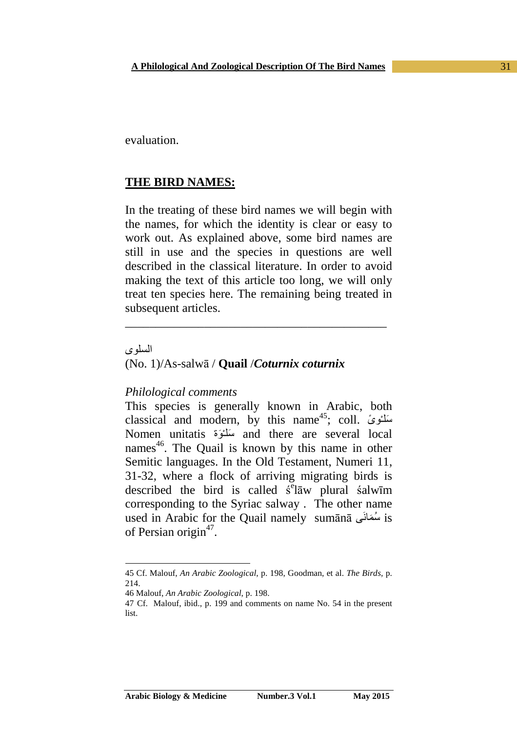evaluation.

# **THE BIRD NAMES:**

In the treating of these bird names we will begin with the names, for which the identity is clear or easy to work out. As explained above, some bird names are still in use and the species in questions are well described in the classical literature. In order to avoid making the text of this article too long, we will only treat ten species here. The remaining being treated in subsequent articles.

\_\_\_\_\_\_\_\_\_\_\_\_\_\_\_\_\_\_\_\_\_\_\_\_\_\_\_\_\_\_\_\_\_\_\_\_\_\_\_\_\_\_\_

السلوى

 $\overline{a}$ 

## (No. 1)/As-salwā / **Quail** /*Coturnix coturnix*

## *Philological comments*

This species is generally known in Arabic, both classical and modern, by this name<sup>45</sup>; coll. سَلْنُوىَ Nomen unitatis وةَ ْ سلـَ and there are several local names<sup>46</sup>. The Quail is known by this name in other Semitic languages. In the Old Testament, Numeri 11, 31-32, where a flock of arriving migrating birds is described the bird is called  $\dot{s}^{\text{e}}$ lāw plural śalwīm corresponding to the Syriac salway . The other name used in Arabic for the Quail namely sumānā ىَمانَ سُ is of Persian origin<sup>47</sup>.

<sup>45</sup> Cf. Malouf, *An Arabic Zoological*, p. 198, Goodman, et al. *The Birds,* p. 214.

<sup>46</sup> Malouf, *An Arabic Zoological*, p. 198.

<sup>47</sup> Cf. Malouf, ibid., p. 199 and comments on name No. 54 in the present list.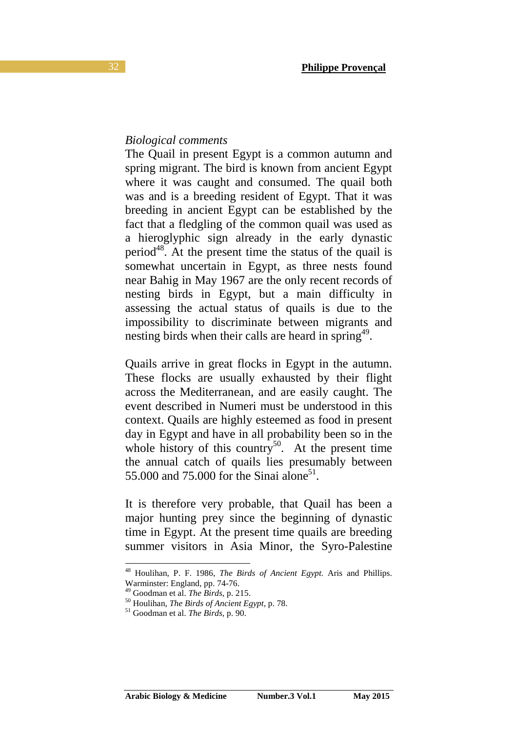## *Biological comments*

The Quail in present Egypt is a common autumn and spring migrant. The bird is known from ancient Egypt where it was caught and consumed. The quail both was and is a breeding resident of Egypt. That it was breeding in ancient Egypt can be established by the fact that a fledgling of the common quail was used as a hieroglyphic sign already in the early dynastic period<sup>48</sup>. At the present time the status of the quail is somewhat uncertain in Egypt, as three nests found near Bahig in May 1967 are the only recent records of nesting birds in Egypt, but a main difficulty in assessing the actual status of quails is due to the impossibility to discriminate between migrants and nesting birds when their calls are heard in spring<sup>49</sup>.

Quails arrive in great flocks in Egypt in the autumn. These flocks are usually exhausted by their flight across the Mediterranean, and are easily caught. The event described in Numeri must be understood in this context. Quails are highly esteemed as food in present day in Egypt and have in all probability been so in the whole history of this country<sup>50</sup>. At the present time the annual catch of quails lies presumably between 55.000 and 75.000 for the Sinai alone<sup>51</sup>.

It is therefore very probable, that Quail has been a major hunting prey since the beginning of dynastic time in Egypt. At the present time quails are breeding summer visitors in Asia Minor, the Syro-Palestine

<sup>48</sup> Houlihan, P. F. 1986, *The Birds of Ancient Egypt.* Aris and Phillips. Warminster: England, pp. 74-76.

<sup>49</sup> Goodman et al. *The Birds*, p. 215.

<sup>50</sup> Houlihan, *The Birds of Ancient Egypt,* p. 78.

<sup>51</sup> Goodman et al. *The Birds*, p. 90.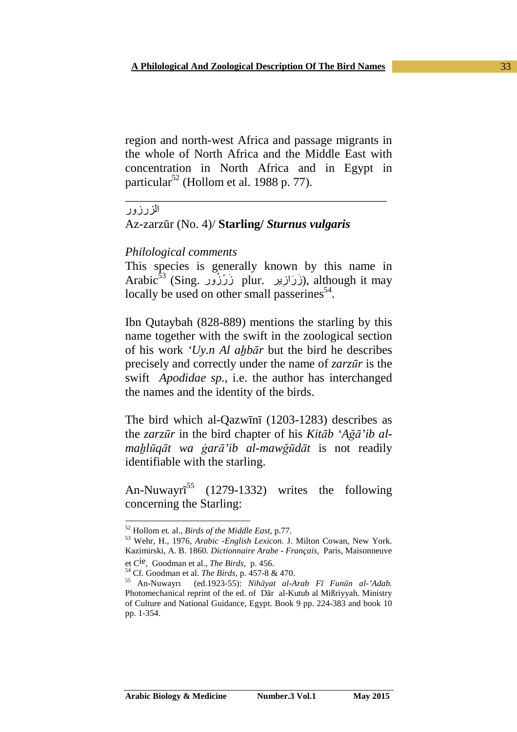region and north-west Africa and passage migrants in the whole of North Africa and the Middle East with concentration in North Africa and in Egypt in particular<sup>52</sup> (Hollom et al. 1988 p. 77).

\_\_\_\_\_\_\_\_\_\_\_\_\_\_\_\_\_\_\_\_\_\_\_\_\_\_\_\_\_\_\_\_\_\_\_\_\_\_\_\_\_\_\_

```
الزرزور
```
 $\overline{a}$ 

## Az-zarzūr (No. 4)/ **Starling/** *Sturnus vulgaris*

#### *Philological comments*

This species is generally known by this name in Arabic<sup>53</sup> (Sing. زَرَازِير), although it may locally be used on other small passerines $<sup>54</sup>$ .</sup>

Ibn Qutaybah (828-889) mentions the starling by this name together with the swift in the zoological section of his work *'Uy.n Al aẖbār* but the bird he describes precisely and correctly under the name of *zarzūr* is the swift *Apodidae sp.*, i.e. the author has interchanged the names and the identity of the birds.

The bird which al-Qazwīnī (1203-1283) describes as the *zarzūr* in the bird chapter of his *Kitāb 'Ağā'ib almaẖlūqāt wa ġarā'ib al-mawğūdāt* is not readily identifiable with the starling.

An-Nuwayrī<sup>55</sup> (1279-1332) writes the following concerning the Starling:

<sup>52</sup> Hollom et. al., *Birds of the Middle East,* p.77.

<sup>53</sup> Wehr, H., 1976, *Arabic -English Lexicon.* J. Milton Cowan, New York. Kazimirski, A. B. 1860. *Dictionnaire Arabe - Français,* Paris, Maisonneuve

et Cie, Goodman et al., *The Birds,* p. 456.

<sup>54</sup> Cf. Goodman et al. *The Birds*, p. 457-8 & 470. <sup>55</sup> An-Nuwayrı (ed.1923-55): *Nihāyat al-Arab Fī Funūn al-'Adab.* Photomechanical reprint of the ed. of Dār al-Kutub al Mißriyyah. Ministry of Culture and National Guidance, Egypt. Book 9 pp. 224-383 and book 10 pp. 1-354.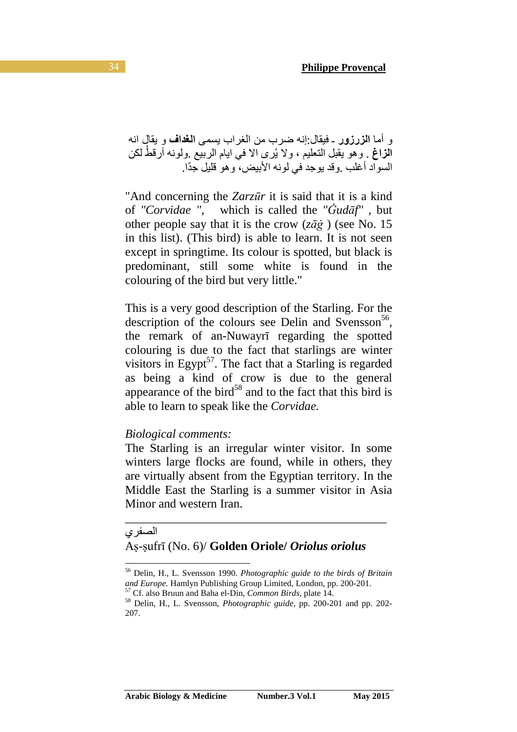و أما **الزرزور** ـ فيقال:إنه ضرب من الغراب يسمى **الغداف** و يقال انه ا**لزاغ** . وهو يقبل التعليم ، ولا يُرى الا في ايام الربيع .ولونه أرقطُ لكن السواد أغلب .وقد يوجد في لونه ابيض، وھو قليل ّجدا .

"And concerning the *Zarzūr* it is said that it is a kind of *"Corvidae "*, which is called the *"Ġudāf"* , but other people say that it is the crow (*zāġ* ) (see No. 15 in this list). (This bird) is able to learn. It is not seen except in springtime. Its colour is spotted, but black is predominant, still some white is found in the colouring of the bird but very little."

This is a very good description of the Starling. For the description of the colours see Delin and Svensson<sup>56</sup>, the remark of an-Nuwayrī regarding the spotted colouring is due to the fact that starlings are winter visitors in Egypt<sup>57</sup>. The fact that a Starling is regarded as being a kind of crow is due to the general appearance of the bird<sup>58</sup> and to the fact that this bird is able to learn to speak like the *Corvidae.*

#### *Biological comments:*

The Starling is an irregular winter visitor. In some winters large flocks are found, while in others, they are virtually absent from the Egyptian territory. In the Middle East the Starling is a summer visitor in Asia Minor and western Iran.

\_\_\_\_\_\_\_\_\_\_\_\_\_\_\_\_\_\_\_\_\_\_\_\_\_\_\_\_\_\_\_\_\_\_\_\_\_\_\_\_\_\_\_

#### الصفري

 $\overline{a}$ 

## Aṣ-ṣufrī (No. 6)/ **Golden Oriole/** *Oriolus oriolus*

<sup>56</sup> Delin, H., L. Svensson 1990. *Photographic guide to the birds of Britain and Europe.* Hamlyn Publishing Group Limited, London, pp. 200-201.

<sup>57</sup> Cf. also Bruun and Baha el-Din, *Common Birds*, plate 14.

<sup>58</sup> Delin, H., L. Svensson, *Photographic guide*, pp. 200-201 and pp. 202- 207.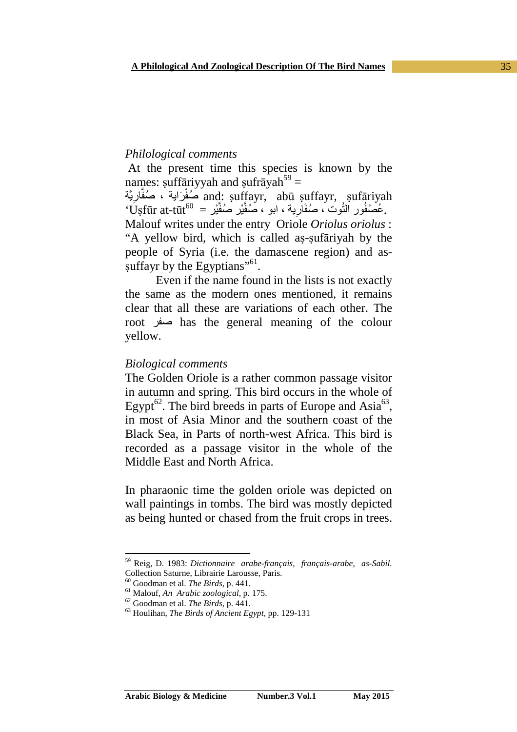## *Philological comments*

 At the present time this species is known by the names: suffāriyyah and sufrāyah<sup>59</sup> =

مُفْرَاية ، صُفَّارِيَّة and: şuffayr, abū suffayr, sufāriyah ِ 'Ustūr at-tūt $^{60}=$ يُصْفُور الثُوت ، صُفَارِية ، ابو ، صُفَّيْر صُفَّيْر =  $\rm\dot{u}$ **∶** 

Malouf writes under the entry Oriole *Oriolus oriolus* : "A yellow bird, which is called aṣ-ṣufāriyah by the people of Syria (i.e. the damascene region) and assuffayr by the Egyptians"<sup>61</sup>.

 Even if the name found in the lists is not exactly the same as the modern ones mentioned, it remains clear that all these are variations of each other. The root صفر has the general meaning of the colour yellow.

#### *Biological comments*

The Golden Oriole is a rather common passage visitor in autumn and spring. This bird occurs in the whole of Egypt<sup>62</sup>. The bird breeds in parts of Europe and Asia<sup>63</sup>, in most of Asia Minor and the southern coast of the Black Sea, in Parts of north-west Africa. This bird is recorded as a passage visitor in the whole of the Middle East and North Africa.

In pharaonic time the golden oriole was depicted on wall paintings in tombs. The bird was mostly depicted as being hunted or chased from the fruit crops in trees.

<sup>59</sup> Reig, D. 1983: *Dictionnaire arabe-français, français-arabe, as-Sabil.* Collection Saturne, Librairie Larousse, Paris.

<sup>60</sup> Goodman et al. *The Birds*, p. 441.

<sup>61</sup> Malouf, *An Arabic zoological,* p. 175.

<sup>62</sup> Goodman et al. *The Birds*, p. 441.

<sup>63</sup> Houlihan, *The Birds of Ancient Egypt,* pp. 129-131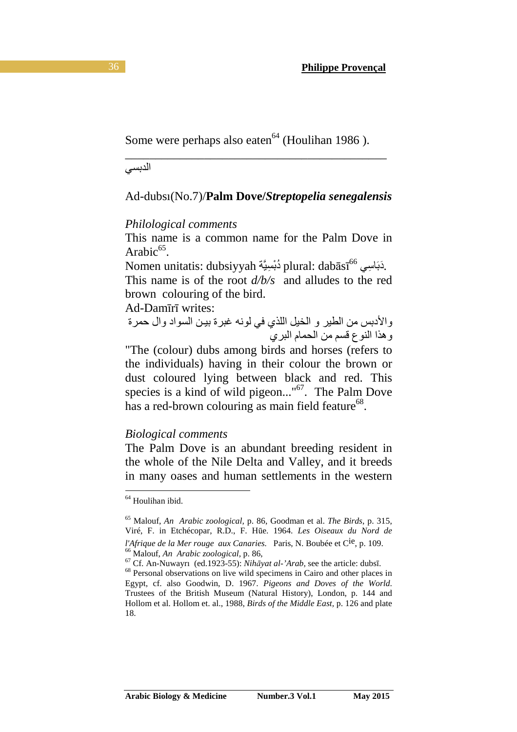Some were perhaps also eaten $<sup>64</sup>$  (Houlihan 1986).</sup>

الدبسي

## Ad-dubsı(No.7)/**Palm Dove/***Streptopelia senegalensis*

\_\_\_\_\_\_\_\_\_\_\_\_\_\_\_\_\_\_\_\_\_\_\_\_\_\_\_\_\_\_\_\_\_\_\_\_\_\_\_\_\_\_\_

### *Philological comments*

This name is a common name for the Palm Dove in Arabic $^{65}$ .

Nomen unitatis: dubsiyyah دُبْسِيَّة plural: dabāsī<sup>66</sup> كِبَاسِي

This name is of the root *d/b/s* and alludes to the red brown colouring of the bird.

Ad-Damīrī writes:

وادبس من الطير و الخيل اللذي في لونه غبرة بيـن السواد وال حمرة وھذا النوع قسم من الحمام البري

"The (colour) dubs among birds and horses (refers to the individuals) having in their colour the brown or dust coloured lying between black and red. This species is a kind of wild pigeon..."<sup>67</sup>. The Palm Dove has a red-brown colouring as main field feature<sup>68</sup>.

## *Biological comments*

The Palm Dove is an abundant breeding resident in the whole of the Nile Delta and Valley, and it breeds in many oases and human settlements in the western

<sup>64</sup> Houlihan ibid.

<sup>65</sup> Malouf, *An Arabic zoological,* p. 86, Goodman et al. *The Birds*, p. 315, Viré, F. in Etchécopar, R.D., F. Hūe. 1964. *Les Oiseaux du Nord de l'Afrique de la Mer rouge aux Canaries.* Paris, N. Boubée et C<sup>ie</sup>, p. 109. <sup>66</sup> Malouf, *An Arabic zoological,* p. 86,

<sup>67</sup> Cf. An-Nuwayrı (ed.1923-55): *Nihāyat al-'Arab*, see the article: dubsī.

<sup>&</sup>lt;sup>68</sup> Personal observations on live wild specimens in Cairo and other places in Egypt, cf. also Goodwin, D. 1967. *Pigeons and Doves of the World*. Trustees of the British Museum (Natural History), London, p. 144 and Hollom et al. Hollom et. al., 1988, *Birds of the Middle East,* p. 126 and plate 18.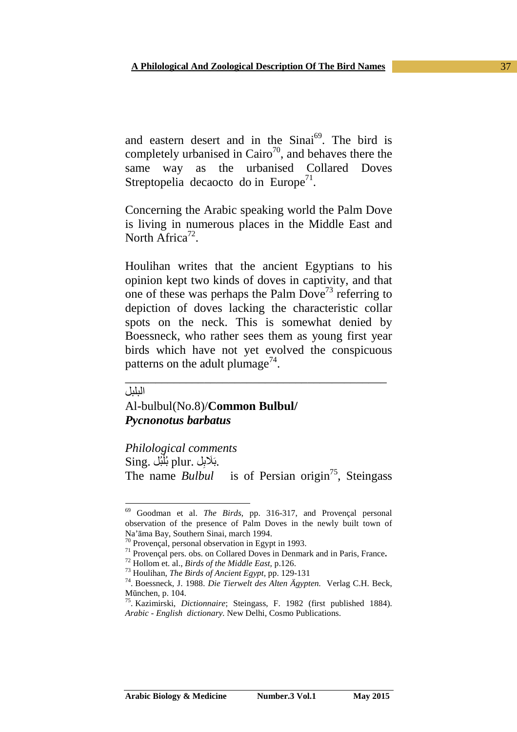and eastern desert and in the Sinai<sup>69</sup>. The bird is completely urbanised in Cairo<sup>70</sup>, and behaves there the same way as the urbanised Collared Doves Streptopelia decaocto do in Europe<sup>71</sup>.

Concerning the Arabic speaking world the Palm Dove is living in numerous places in the Middle East and North Africa<sup>72</sup>.

Houlihan writes that the ancient Egyptians to his opinion kept two kinds of doves in captivity, and that one of these was perhaps the Palm Dove<sup>73</sup> referring to depiction of doves lacking the characteristic collar spots on the neck. This is somewhat denied by Boessneck, who rather sees them as young first year birds which have not yet evolved the conspicuous patterns on the adult plumage<sup>74</sup>.

\_\_\_\_\_\_\_\_\_\_\_\_\_\_\_\_\_\_\_\_\_\_\_\_\_\_\_\_\_\_\_\_\_\_\_\_\_\_\_\_\_\_\_

#### البلبل

 $\overline{a}$ 

# Al-bulbul(No.8)/**Common Bulbul/**  *Pycnonotus barbatus*

*Philological comments* Sing. بَلَابِل .plur بُلْبُل ْ The name *Bulbul* is of Persian origin<sup>75</sup>, Steingass

<sup>69</sup> Goodman et al. *The Birds*, pp. 316-317, and Provençal personal observation of the presence of Palm Doves in the newly built town of Na'āma Bay, Southern Sinai, march 1994.

<sup>70</sup> Provençal, personal observation in Egypt in 1993.

<sup>71</sup> Provençal pers. obs. on Collared Doves in Denmark and in Paris, France**.**

<sup>72</sup> Hollom et. al., *Birds of the Middle East,* p.126.

<sup>73</sup> Houlihan, *The Birds of Ancient Egypt,* pp. 129-131

<sup>74</sup>. Boessneck, J. 1988. *Die Tierwelt des Alten Ägypten.* Verlag C.H. Beck, Mūnchen, p. 104.

<sup>75</sup>. Kazimirski, *Dictionnaire*; Steingass, F. 1982 (first published 1884). *Arabic - English dictionary.* New Delhi, Cosmo Publications.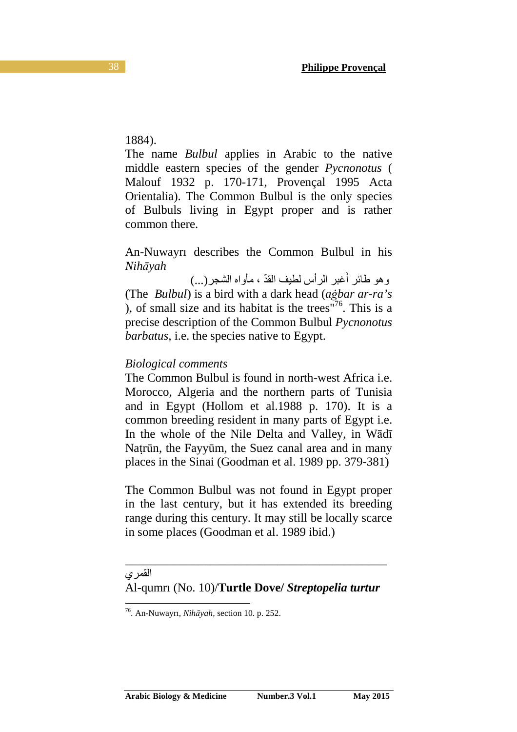#### 1884).

The name *Bulbul* applies in Arabic to the native middle eastern species of the gender *Pycnonotus* ( Malouf 1932 p. 170-171, Provençal 1995 Acta Orientalia). The Common Bulbul is the only species of Bulbuls living in Egypt proper and is rather common there.

An-Nuwayrı describes the Common Bulbul in his *Nihāyah*

و هو طائر أغبر الراس لطيف القدّ ، مأواه الشجر(…) (The *Bulbul*) is a bird with a dark head (*aġbar ar-ra's*  ), of small size and its habitat is the trees $\overline{176}$ . This is a precise description of the Common Bulbul *Pycnonotus barbatus,* i.e. the species native to Egypt.

#### *Biological comments*

The Common Bulbul is found in north-west Africa i.e. Morocco, Algeria and the northern parts of Tunisia and in Egypt (Hollom et al.1988 p. 170). It is a common breeding resident in many parts of Egypt i.e. In the whole of the Nile Delta and Valley, in Wādī Natrūn, the Fayyūm, the Suez canal area and in many places in the Sinai (Goodman et al. 1989 pp. 379-381)

The Common Bulbul was not found in Egypt proper in the last century, but it has extended its breeding range during this century. It may still be locally scarce in some places (Goodman et al. 1989 ibid.)

 $\overline{a}$ 

\_\_\_\_\_\_\_\_\_\_\_\_\_\_\_\_\_\_\_\_\_\_\_\_\_\_\_\_\_\_\_\_\_\_\_\_\_\_\_\_\_\_\_

القمري

Al-qumrı (No. 10)/**Turtle Dove/** *Streptopelia turtur* 

<sup>76</sup>. An-Nuwayrı, *Nihāyah,* section 10. p. 252.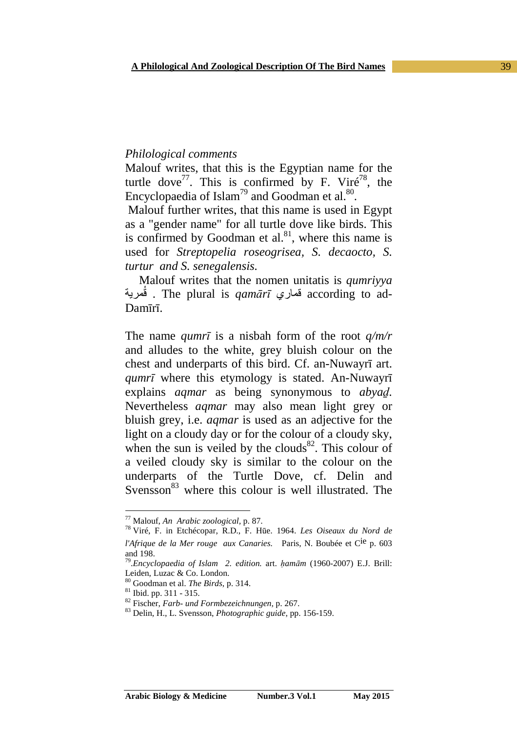### *Philological comments*

Malouf writes, that this is the Egyptian name for the turtle dove<sup>77</sup>. This is confirmed by F. Viré<sup>78</sup>, the Encyclopaedia of Islam<sup>79</sup> and Goodman et al. $80$ .

 Malouf further writes, that this name is used in Egypt as a "gender name" for all turtle dove like birds. This is confirmed by Goodman et  $al.^{81}$ , where this name is used for *Streptopelia roseogrisea, S. decaocto, S. turtur and S. senegalensis.* 

 Malouf writes that the nomen unitatis is *qumriyya*  مريةُق . The plural is *qamārī* قماري according to ad-Damīrī.

The name *qumrī* is a nisbah form of the root *q/m/r*  and alludes to the white, grey bluish colour on the chest and underparts of this bird. Cf. an-Nuwayrī art. *qumrī* where this etymology is stated. An-Nuwayrī explains *agmar* as being synonymous to *abyad*. Nevertheless *aqmar* may also mean light grey or bluish grey, i.e. *aqmar* is used as an adjective for the light on a cloudy day or for the colour of a cloudy sky, when the sun is veiled by the clouds<sup>82</sup>. This colour of a veiled cloudy sky is similar to the colour on the underparts of the Turtle Dove, cf. Delin and Svensson<sup>83</sup> where this colour is well illustrated. The

<sup>77</sup> Malouf, *An Arabic zoological,* p. 87.

<sup>78</sup> Viré, F. in Etchécopar, R.D., F. Hūe. 1964. *Les Oiseaux du Nord de l'Afrique de la Mer rouge aux Canaries.* Paris, N. Boubée et Cie p. 603 and 198.

<sup>79</sup> .*Encyclopaedia of Islam 2. edition.* art. *ḥamām* (1960-2007) E.J. Brill: Leiden, Luzac & Co. London.

<sup>80</sup> Goodman et al. *The Birds*, p. 314.

<sup>81</sup> Ibid. pp. 311 - 315.

<sup>82</sup> Fischer, *Farb- und Formbezeichnungen,* p. 267.

<sup>83</sup> Delin, H., L. Svensson, *Photographic guide*, pp. 156-159.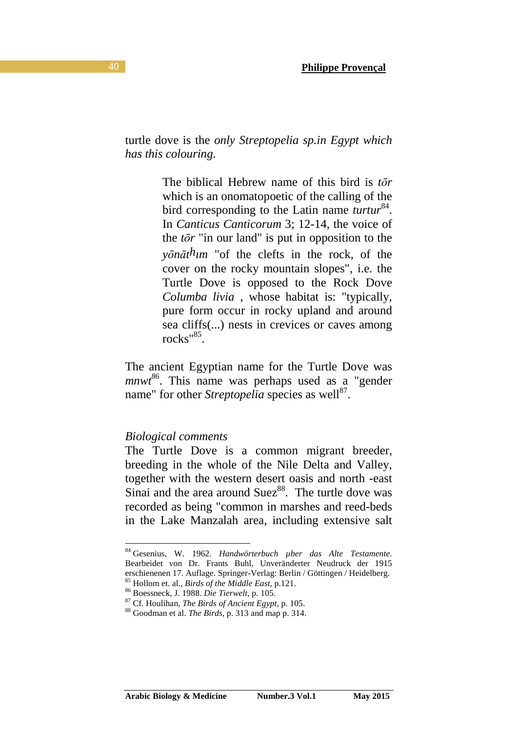turtle dove is the *only Streptopelia sp.in Egypt which has this colouring.* 

> The biblical Hebrew name of this bird is *tōr* which is an onomatopoetic of the calling of the bird corresponding to the Latin name *turtur*<sup>84</sup>. In *Canticus Canticorum* 3; 12-14, the voice of the *tōr* "in our land" is put in opposition to the *yōnāthım* "of the clefts in the rock, of the cover on the rocky mountain slopes", i.e. the Turtle Dove is opposed to the Rock Dove *Columba livia* , whose habitat is: "typically, pure form occur in rocky upland and around sea cliffs(...) nests in crevices or caves among rocks"<sup>85</sup>.

The ancient Egyptian name for the Turtle Dove was *mnwt<sup>86</sup>*. This name was perhaps used as a "gender name" for other *Streptopelia* species as well<sup>87</sup>.

#### *Biological comments*

 $\overline{a}$ 

The Turtle Dove is a common migrant breeder, breeding in the whole of the Nile Delta and Valley, together with the western desert oasis and north -east Sinai and the area around  $Suez^{88}$ . The turtle dove was recorded as being "common in marshes and reed-beds in the Lake Manzalah area, including extensive salt

<sup>84</sup> Gesenius, W. 1962. *Handwörterbuch µber das Alte Testamente.* Bearbeidet von Dr. Frants Buhl, Unveränderter Neudruck der 1915 erschienenen 17. Auflage. Springer-Verlag: Berlin / Göttingen / Heidelberg.

<sup>85</sup> Hollom et. al., *Birds of the Middle East,* p.121.

<sup>86</sup> Boessneck, J. 1988. *Die Tierwelt,* p. 105.

<sup>87</sup> Cf. Houlihan, *The Birds of Ancient Egypt,* p. 105.

<sup>88</sup> Goodman et al. *The Birds*, p. 313 and map p. 314.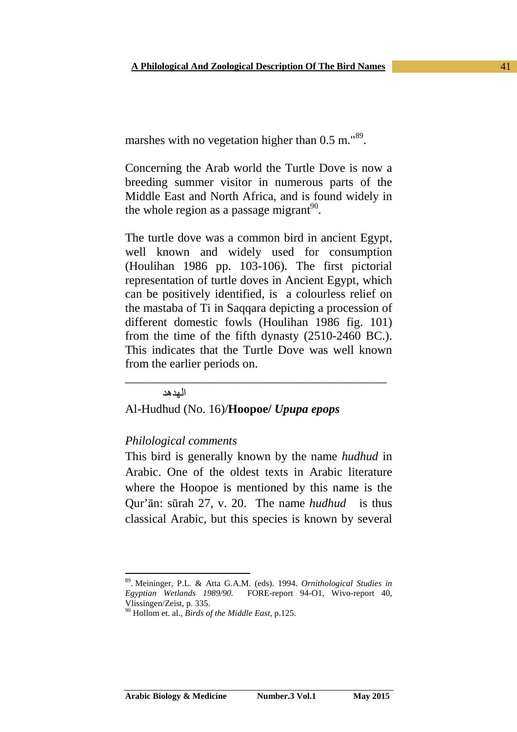marshes with no vegetation higher than 0.5 m."<sup>89</sup>.

Concerning the Arab world the Turtle Dove is now a breeding summer visitor in numerous parts of the Middle East and North Africa, and is found widely in the whole region as a passage migrant<sup>90</sup>.

The turtle dove was a common bird in ancient Egypt, well known and widely used for consumption (Houlihan 1986 pp. 103-106). The first pictorial representation of turtle doves in Ancient Egypt, which can be positively identified, is a colourless relief on the mastaba of Ti in Saqqara depicting a procession of different domestic fowls (Houlihan 1986 fig. 101) from the time of the fifth dynasty (2510-2460 BC.). This indicates that the Turtle Dove was well known from the earlier periods on.

\_\_\_\_\_\_\_\_\_\_\_\_\_\_\_\_\_\_\_\_\_\_\_\_\_\_\_\_\_\_\_\_\_\_\_\_\_\_\_\_\_\_\_

الھدھد

Al-Hudhud (No. 16)/**Hoopoe/** *Upupa epops* 

## *Philological comments*

l

This bird is generally known by the name *hudhud* in Arabic. One of the oldest texts in Arabic literature where the Hoopoe is mentioned by this name is the Qur'ān: sūrah 27, v. 20. The name *hudhud* is thus classical Arabic, but this species is known by several

<sup>89</sup>. Meininger, P.L. & Atta G.A.M. (eds). 1994. *Ornithological Studies in Egyptian Wetlands 1989/90.* FORE-report 94-O1, Wivo-report 40, Vlissingen/Zeist, p. 335.

<sup>90</sup> Hollom et. al., *Birds of the Middle East,* p.125.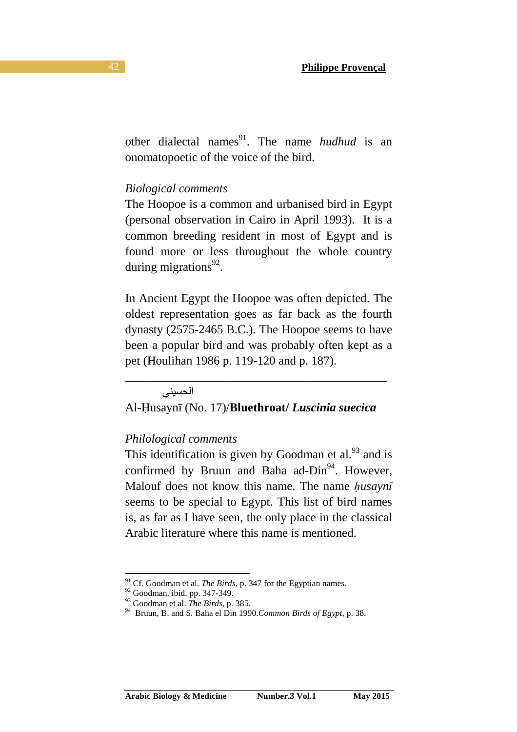other dialectal names<sup>91</sup>. The name *hudhud* is an onomatopoetic of the voice of the bird.

## *Biological comments*

The Hoopoe is a common and urbanised bird in Egypt (personal observation in Cairo in April 1993). It is a common breeding resident in most of Egypt and is found more or less throughout the whole country during migrations<sup>92</sup>.

In Ancient Egypt the Hoopoe was often depicted. The oldest representation goes as far back as the fourth dynasty (2575-2465 B.C.). The Hoopoe seems to have been a popular bird and was probably often kept as a pet (Houlihan 1986 p. 119-120 and p. 187).

\_\_\_\_\_\_\_\_\_\_\_\_\_\_\_\_\_\_\_\_\_\_\_\_\_\_\_\_\_\_\_\_\_\_\_\_\_\_\_\_\_\_\_

#### الحسيني

#### Al-Ḥusaynī (No. 17)/**Bluethroat/** *Luscinia suecica*

#### *Philological comments*

This identification is given by Goodman et al. $93$  and is confirmed by Bruun and Baha ad- $Din^{94}$ . However, Malouf does not know this name. The name *ḥusaynī* seems to be special to Egypt. This list of bird names is, as far as I have seen, the only place in the classical Arabic literature where this name is mentioned.

l

<sup>&</sup>lt;sup>91</sup> Cf. Goodman et al. *The Birds*, p. 347 for the Egyptian names.

 $92$  Goodman, ibid. pp. 347-349.

<sup>93</sup> Goodman et al. *The Birds*, p. 385.

<sup>94</sup> Bruun, B. and S. Baha el Din 1990.*Common Birds of Egypt,* p. 38.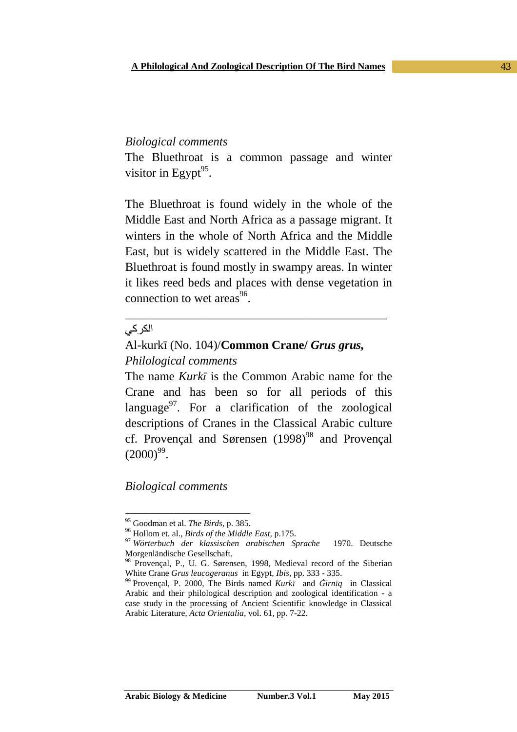## *Biological comments*

The Bluethroat is a common passage and winter visitor in Egypt $^{95}$ .

The Bluethroat is found widely in the whole of the Middle East and North Africa as a passage migrant. It winters in the whole of North Africa and the Middle East, but is widely scattered in the Middle East. The Bluethroat is found mostly in swampy areas. In winter it likes reed beds and places with dense vegetation in connection to wet areas  $96$ .

\_\_\_\_\_\_\_\_\_\_\_\_\_\_\_\_\_\_\_\_\_\_\_\_\_\_\_\_\_\_\_\_\_\_\_\_\_\_\_\_\_\_\_

# الكركي

 $\overline{a}$ 

# Al-kurkī (No. 104)/**Common Crane/** *Grus grus, Philological comments*

The name *Kurkī* is the Common Arabic name for the Crane and has been so for all periods of this language $97$ . For a clarification of the zoological descriptions of Cranes in the Classical Arabic culture cf. Provençal and Sørensen  $(1998)^{98}$  and Provençal  $(2000)^{99}$ .

*Biological comments*

<sup>95</sup> Goodman et al. *The Birds*, p. 385.

<sup>96</sup> Hollom et. al., *Birds of the Middle East,* p.175.

<sup>97</sup> *Wörterbuch der klassischen arabischen Sprache* 1970. Deutsche Morgenländische Gesellschaft.

<sup>98</sup> Provençal, P., U. G. Sørensen, 1998, Medieval record of the Siberian White Crane *Grus leucogeranus* in Egypt, *Ibis,* pp. 333 - 335.

<sup>99</sup> Provençal, P. 2000, The Birds named *Kurkī* and *Ġirnīq* in Classical Arabic and their philological description and zoological identification - a case study in the processing of Ancient Scientific knowledge in Classical Arabic Literature, *Acta Orientalia*, vol. 61, pp. 7-22.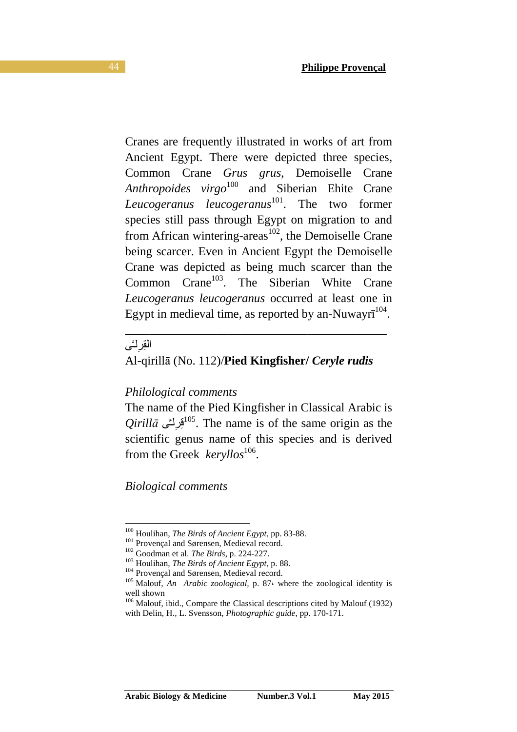Cranes are frequently illustrated in works of art from Ancient Egypt. There were depicted three species, Common Crane *Grus grus*, Demoiselle Crane *Anthropoides virgo*<sup>100</sup> and Siberian Ehite Crane *Leucogeranus leucogeranus*<sup>101</sup>. The two former species still pass through Egypt on migration to and from African wintering-areas $102$ , the Demoiselle Crane being scarcer. Even in Ancient Egypt the Demoiselle Crane was depicted as being much scarcer than the Common Crane<sup>103</sup>. The Siberian White Crane *Leucogeranus leucogeranus* occurred at least one in Egypt in medieval time, as reported by an-Nuwayr $T^{104}$ .

# القِرِلَّـَى

 $\overline{a}$ 

### Al-qirillā (No. 112)/**Pied Kingfisher/** *Ceryle rudis*

\_\_\_\_\_\_\_\_\_\_\_\_\_\_\_\_\_\_\_\_\_\_\_\_\_\_\_\_\_\_\_\_\_\_\_\_\_\_\_\_\_\_\_

#### *Philological comments*

The name of the Pied Kingfisher in Classical Arabic is  $Qirill\bar{a}$  قِرِكَى  $^{105}$ . The name is of the same origin as the scientific genus name of this species and is derived from the Greek *keryllos*<sup>106</sup>.

*Biological comments*

<sup>100</sup> Houlihan, *The Birds of Ancient Egypt,* pp. 83-88.

<sup>&</sup>lt;sup>101</sup> Provençal and Sørensen, Medieval record.

<sup>102</sup> Goodman et al. *The Birds*, p. 224-227.

<sup>103</sup> Houlihan, *The Birds of Ancient Egypt,* p. 88.

<sup>&</sup>lt;sup>104</sup> Provençal and Sørensen, Medieval record.

<sup>105</sup> Malouf, *An Arabic zoological,* p. 87، where the zoological identity is well shown

<sup>&</sup>lt;sup>106</sup> Malouf, ibid., Compare the Classical descriptions cited by Malouf (1932) with Delin, H., L. Svensson, *Photographic guide*, pp. 170-171.